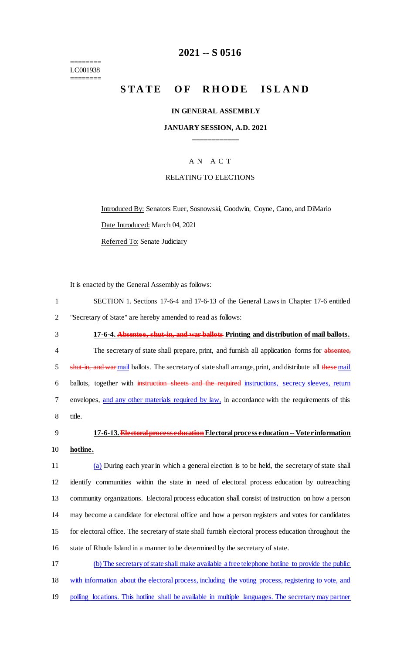======== LC001938 ========

# **2021 -- S 0516**

# **STATE OF RHODE ISLAND**

#### **IN GENERAL ASSEMBLY**

#### **JANUARY SESSION, A.D. 2021 \_\_\_\_\_\_\_\_\_\_\_\_**

### A N A C T

#### RELATING TO ELECTIONS

Introduced By: Senators Euer, Sosnowski, Goodwin, Coyne, Cano, and DiMario Date Introduced: March 04, 2021 Referred To: Senate Judiciary

It is enacted by the General Assembly as follows:

| SECTION 1. Sections 17-6-4 and 17-6-13 of the General Laws in Chapter 17-6 entitled |
|-------------------------------------------------------------------------------------|
| "Secretary of State" are hereby amended to read as follows:                         |

- 3 **17-6-4. Absentee, shut-in, and war ballots Printing and distribution of mail ballots.** 4 The secretary of state shall prepare, print, and furnish all application forms for absentee, 5 shut-in, and warmail ballots. The secretary of state shall arrange, print, and distribute all these mail 6 ballots, together with instruction sheets and the required instructions, secrecy sleeves, return 7 envelopes, and any other materials required by law, in accordance with the requirements of this 8 title.
- 

# 9 **17-6-13. Electoral process education** Electoral process education -- Voter information 10 **hotline.**

 (a) During each year in which a general election is to be held, the secretary of state shall identify communities within the state in need of electoral process education by outreaching community organizations. Electoral process education shall consist of instruction on how a person may become a candidate for electoral office and how a person registers and votes for candidates for electoral office. The secretary of state shall furnish electoral process education throughout the state of Rhode Island in a manner to be determined by the secretary of state.

17 (b) The secretary of state shall make available a free telephone hotline to provide the public 18 with information about the electoral process, including the voting process, registering to vote, and 19 polling locations. This hotline shall be available in multiple languages. The secretary may partner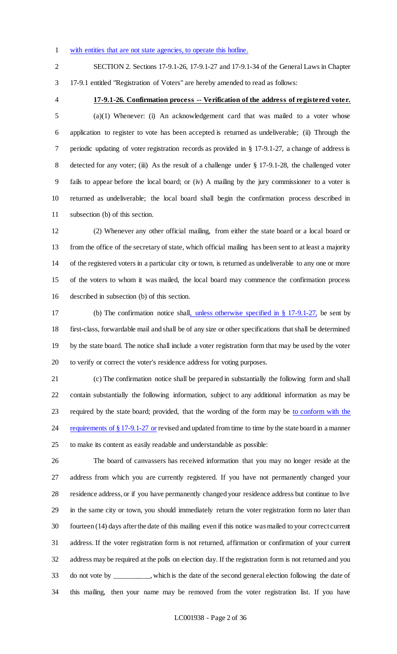with entities that are not state agencies, to operate this hotline.

SECTION 2. Sections 17-9.1-26, 17-9.1-27 and 17-9.1-34 of the General Laws in Chapter

17-9.1 entitled "Registration of Voters" are hereby amended to read as follows:

# **17-9.1-26. Confirmation process -- Verification of the address of registered voter.**

 (a)(1) Whenever: (i) An acknowledgement card that was mailed to a voter whose application to register to vote has been accepted is returned as undeliverable; (ii) Through the periodic updating of voter registration records as provided in § 17-9.1-27, a change of address is 8 detected for any voter; (iii) As the result of a challenge under § 17-9.1-28, the challenged voter fails to appear before the local board; or (iv) A mailing by the jury commissioner to a voter is returned as undeliverable; the local board shall begin the confirmation process described in subsection (b) of this section.

 (2) Whenever any other official mailing, from either the state board or a local board or from the office of the secretary of state, which official mailing has been sent to at least a majority of the registered voters in a particular city or town, is returned as undeliverable to any one or more of the voters to whom it was mailed, the local board may commence the confirmation process described in subsection (b) of this section.

 (b) The confirmation notice shall, unless otherwise specified in § 17-9.1-27, be sent by first-class, forwardable mail and shall be of any size or other specifications that shall be determined by the state board. The notice shall include a voter registration form that may be used by the voter to verify or correct the voter's residence address for voting purposes.

 (c) The confirmation notice shall be prepared in substantially the following form and shall contain substantially the following information, subject to any additional information as may be required by the state board; provided, that the wording of the form may be to conform with the 24 requirements of  $\S 17-9.1-27$  or revised and updated from time to time by the state board in a manner to make its content as easily readable and understandable as possible:

 The board of canvassers has received information that you may no longer reside at the address from which you are currently registered. If you have not permanently changed your residence address, or if you have permanently changed your residence address but continue to live in the same city or town, you should immediately return the voter registration form no later than fourteen (14) days after the date of this mailing even if this notice was mailed to your correct current address. If the voter registration form is not returned, affirmation or confirmation of your current address may be required at the polls on election day. If the registration form is not returned and you do not vote by \_\_\_\_\_\_\_\_\_\_, which is the date of the second general election following the date of this mailing, then your name may be removed from the voter registration list. If you have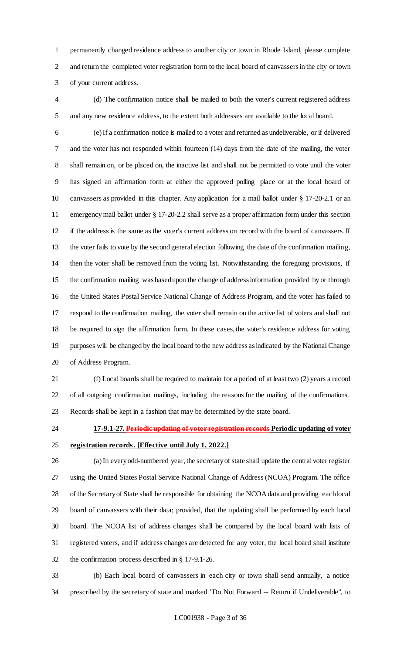permanently changed residence address to another city or town in Rhode Island, please complete and return the completed voter registration form to the local board of canvassers in the city or town of your current address.

 (d) The confirmation notice shall be mailed to both the voter's current registered address and any new residence address, to the extent both addresses are available to the local board.

 (e) If a confirmation notice is mailed to a voter and returned as undeliverable, or if delivered and the voter has not responded within fourteen (14) days from the date of the mailing, the voter shall remain on, or be placed on, the inactive list and shall not be permitted to vote until the voter has signed an affirmation form at either the approved polling place or at the local board of canvassers as provided in this chapter. Any application for a mail ballot under § 17-20-2.1 or an emergency mail ballot under § 17-20-2.2 shall serve as a proper affirmation form under this section if the address is the same as the voter's current address on record with the board of canvassers. If the voter fails to vote by the second general election following the date of the confirmation mailing, then the voter shall be removed from the voting list. Notwithstanding the foregoing provisions, if the confirmation mailing was based upon the change of address information provided by or through the United States Postal Service National Change of Address Program, and the voter has failed to respond to the confirmation mailing, the voter shall remain on the active list of voters and shall not be required to sign the affirmation form. In these cases, the voter's residence address for voting purposes will be changed by the local board to the new address as indicated by the National Change of Address Program.

- (f) Local boards shall be required to maintain for a period of at least two (2) years a record of all outgoing confirmation mailings, including the reasons for the mailing of the confirmations. Records shall be kept in a fashion that may be determined by the state board.
- **17-9.1-27. Periodic updating of voter registration records Periodic updating of voter**

- **registration records. [Effective until July 1, 2022.]** (a) In every odd-numbered year, the secretary of state shall update the central voter register using the United States Postal Service National Change of Address (NCOA) Program. The office of the Secretary of State shall be responsible for obtaining the NCOA data and providing each local board of canvassers with their data; provided, that the updating shall be performed by each local board. The NCOA list of address changes shall be compared by the local board with lists of registered voters, and if address changes are detected for any voter, the local board shall institute the confirmation process described in § 17-9.1-26.
- (b) Each local board of canvassers in each city or town shall send annually, a notice prescribed by the secretary of state and marked "Do Not Forward -- Return if Undeliverable", to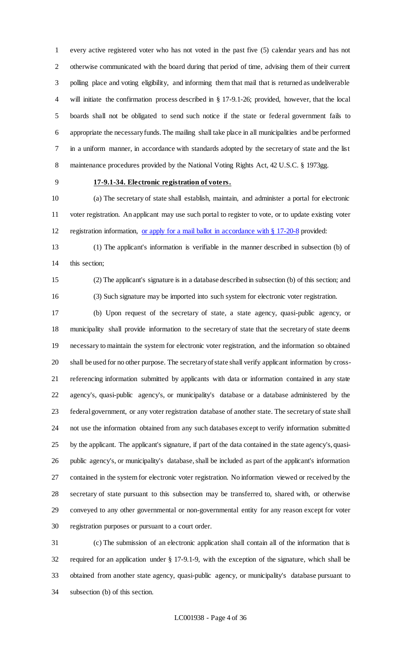every active registered voter who has not voted in the past five (5) calendar years and has not otherwise communicated with the board during that period of time, advising them of their current polling place and voting eligibility, and informing them that mail that is returned as undeliverable will initiate the confirmation process described in § 17-9.1-26; provided, however, that the local boards shall not be obligated to send such notice if the state or federal government fails to appropriate the necessary funds. The mailing shall take place in all municipalities and be performed in a uniform manner, in accordance with standards adopted by the secretary of state and the list maintenance procedures provided by the National Voting Rights Act, 42 U.S.C. § 1973gg.

### **17-9.1-34. Electronic registration of voters.**

 (a) The secretary of state shall establish, maintain, and administer a portal for electronic voter registration. An applicant may use such portal to register to vote, or to update existing voter registration information, or apply for a mail ballot in accordance with § 17-20-8 provided:

 (1) The applicant's information is verifiable in the manner described in subsection (b) of this section;

 (2) The applicant's signature is in a database described in subsection (b) of this section; and (3) Such signature may be imported into such system for electronic voter registration.

 (b) Upon request of the secretary of state, a state agency, quasi-public agency, or municipality shall provide information to the secretary of state that the secretary of state deems necessary to maintain the system for electronic voter registration, and the information so obtained shall be used for no other purpose. The secretary of state shall verify applicant information by cross- referencing information submitted by applicants with data or information contained in any state agency's, quasi-public agency's, or municipality's database or a database administered by the federal government, or any voter registration database of another state. The secretary of state shall not use the information obtained from any such databases except to verify information submitted by the applicant. The applicant's signature, if part of the data contained in the state agency's, quasi- public agency's, or municipality's database, shall be included as part of the applicant's information contained in the system for electronic voter registration. No information viewed or received by the secretary of state pursuant to this subsection may be transferred to, shared with, or otherwise conveyed to any other governmental or non-governmental entity for any reason except for voter registration purposes or pursuant to a court order.

 (c) The submission of an electronic application shall contain all of the information that is required for an application under § 17-9.1-9, with the exception of the signature, which shall be obtained from another state agency, quasi-public agency, or municipality's database pursuant to subsection (b) of this section.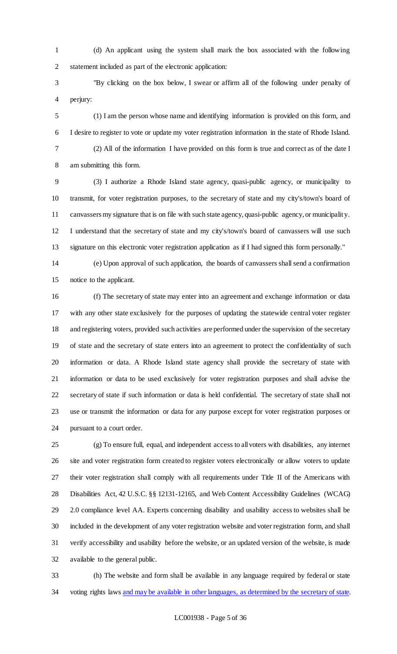(d) An applicant using the system shall mark the box associated with the following statement included as part of the electronic application:

 "By clicking on the box below, I swear or affirm all of the following under penalty of perjury:

 (1) I am the person whose name and identifying information is provided on this form, and I desire to register to vote or update my voter registration information in the state of Rhode Island. (2) All of the information I have provided on this form is true and correct as of the date I am submitting this form.

 (3) I authorize a Rhode Island state agency, quasi-public agency, or municipality to transmit, for voter registration purposes, to the secretary of state and my city's/town's board of canvassers my signature that is on file with such state agency, quasi-public agency, or municipality. I understand that the secretary of state and my city's/town's board of canvassers will use such signature on this electronic voter registration application as if I had signed this form personally."

 (e) Upon approval of such application, the boards of canvassers shall send a confirmation notice to the applicant.

 (f) The secretary of state may enter into an agreement and exchange information or data with any other state exclusively for the purposes of updating the statewide central voter register and registering voters, provided such activities are performed under the supervision of the secretary of state and the secretary of state enters into an agreement to protect the confidentiality of such information or data. A Rhode Island state agency shall provide the secretary of state with information or data to be used exclusively for voter registration purposes and shall advise the secretary of state if such information or data is held confidential. The secretary of state shall not use or transmit the information or data for any purpose except for voter registration purposes or pursuant to a court order.

 (g) To ensure full, equal, and independent access to all voters with disabilities, any internet site and voter registration form created to register voters electronically or allow voters to update their voter registration shall comply with all requirements under Title II of the Americans with Disabilities Act, 42 U.S.C. §§ 12131-12165, and Web Content Accessibility Guidelines (WCAG) 2.0 compliance level AA. Experts concerning disability and usability access to websites shall be included in the development of any voter registration website and voter registration form, and shall verify accessibility and usability before the website, or an updated version of the website, is made available to the general public.

 (h) The website and form shall be available in any language required by federal or state 34 voting rights laws and may be available in other languages, as determined by the secretary of state.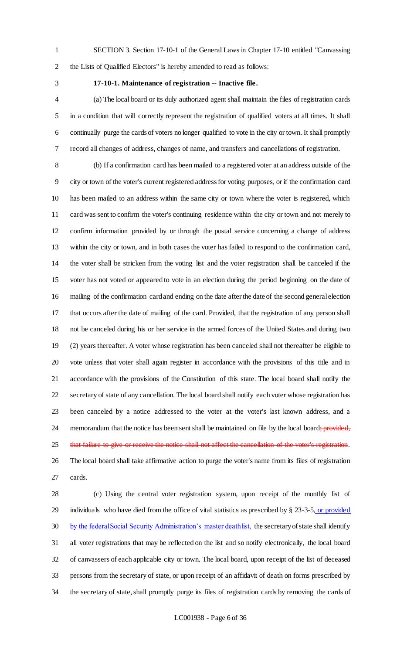SECTION 3. Section 17-10-1 of the General Laws in Chapter 17-10 entitled "Canvassing the Lists of Qualified Electors" is hereby amended to read as follows:

#### **17-10-1. Maintenance of registration -- Inactive file.**

 (a) The local board or its duly authorized agent shall maintain the files of registration cards in a condition that will correctly represent the registration of qualified voters at all times. It shall continually purge the cards of voters no longer qualified to vote in the city or town. It shall promptly record all changes of address, changes of name, and transfers and cancellations of registration.

 (b) If a confirmation card has been mailed to a registered voter at an address outside of the city or town of the voter's current registered address for voting purposes, or if the confirmation card has been mailed to an address within the same city or town where the voter is registered, which card was sent to confirm the voter's continuing residence within the city or town and not merely to confirm information provided by or through the postal service concerning a change of address within the city or town, and in both cases the voter has failed to respond to the confirmation card, the voter shall be stricken from the voting list and the voter registration shall be canceled if the voter has not voted or appeared to vote in an election during the period beginning on the date of mailing of the confirmation card and ending on the date after the date of the second general election that occurs after the date of mailing of the card. Provided, that the registration of any person shall not be canceled during his or her service in the armed forces of the United States and during two (2) years thereafter. A voter whose registration has been canceled shall not thereafter be eligible to vote unless that voter shall again register in accordance with the provisions of this title and in accordance with the provisions of the Constitution of this state. The local board shall notify the secretary of state of any cancellation. The local board shall notify each voter whose registration has been canceled by a notice addressed to the voter at the voter's last known address, and a 24 memorandum that the notice has been sent shall be maintained on file by the local board; provided, 25 that failure to give or receive the notice shall not affect the cancellation of the voter's registration. The local board shall take affirmative action to purge the voter's name from its files of registration cards.

 (c) Using the central voter registration system, upon receipt of the monthly list of 29 individuals who have died from the office of vital statistics as prescribed by § 23-3-5, or provided 30 by the federal Social Security Administration's master death list, the secretary of state shall identify all voter registrations that may be reflected on the list and so notify electronically, the local board of canvassers of each applicable city or town. The local board, upon receipt of the list of deceased persons from the secretary of state, or upon receipt of an affidavit of death on forms prescribed by the secretary of state, shall promptly purge its files of registration cards by removing the cards of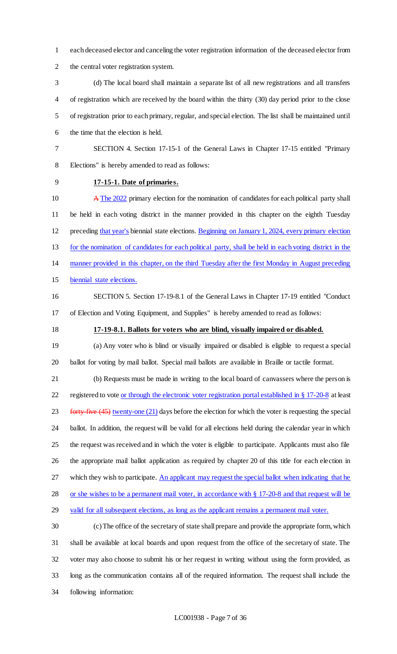- each deceased elector and canceling the voter registration information of the deceased elector from
- the central voter registration system.
- (d) The local board shall maintain a separate list of all new registrations and all transfers of registration which are received by the board within the thirty (30) day period prior to the close of registration prior to each primary, regular, and special election. The list shall be maintained until the time that the election is held.

 SECTION 4. Section 17-15-1 of the General Laws in Chapter 17-15 entitled "Primary Elections" is hereby amended to read as follows:

### **17-15-1. Date of primaries.**

10 A The 2022 primary election for the nomination of candidates for each political party shall be held in each voting district in the manner provided in this chapter on the eighth Tuesday preceding that year's biennial state elections. Beginning on January 1, 2024, every primary election for the nomination of candidates for each political party, shall be held in each voting district in the manner provided in this chapter, on the third Tuesday after the first Monday in August preceding biennial state elections.

 SECTION 5. Section 17-19-8.1 of the General Laws in Chapter 17-19 entitled "Conduct of Election and Voting Equipment, and Supplies" is hereby amended to read as follows:

### **17-19-8.1. Ballots for voters who are blind, visually impaired or disabled.**

 (a) Any voter who is blind or visually impaired or disabled is eligible to request a special ballot for voting by mail ballot. Special mail ballots are available in Braille or tactile format.

 (b) Requests must be made in writing to the local board of canvassers where the person is 22 registered to vote <u>or through the electronic voter registration portal established in § 17-20-8</u> at least 23 forty-five (45) twenty-one (21) days before the election for which the voter is requesting the special ballot. In addition, the request will be valid for all elections held during the calendar year in which the request was received and in which the voter is eligible to participate. Applicants must also file the appropriate mail ballot application as required by chapter 20 of this title for each election in 27 which they wish to participate. An applicant may request the special ballot when indicating that he 28 or she wishes to be a permanent mail voter, in accordance with § 17-20-8 and that request will be 29 valid for all subsequent elections, as long as the applicant remains a permanent mail voter.

 (c) The office of the secretary of state shall prepare and provide the appropriate form, which shall be available at local boards and upon request from the office of the secretary of state. The voter may also choose to submit his or her request in writing without using the form provided, as long as the communication contains all of the required information. The request shall include the following information: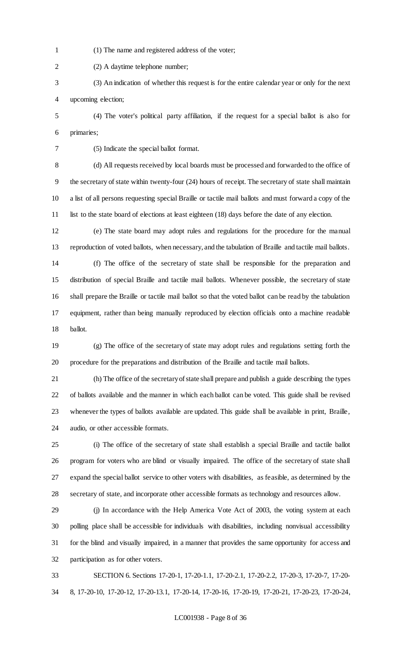- (1) The name and registered address of the voter;
- (2) A daytime telephone number;
- (3) An indication of whether this request is for the entire calendar year or only for the next upcoming election;
- (4) The voter's political party affiliation, if the request for a special ballot is also for primaries;
- 

(5) Indicate the special ballot format.

 (d) All requests received by local boards must be processed and forwarded to the office of the secretary of state within twenty-four (24) hours of receipt. The secretary of state shall maintain a list of all persons requesting special Braille or tactile mail ballots and must forward a copy of the list to the state board of elections at least eighteen (18) days before the date of any election.

 (e) The state board may adopt rules and regulations for the procedure for the manual reproduction of voted ballots, when necessary, and the tabulation of Braille and tactile mail ballots.

 (f) The office of the secretary of state shall be responsible for the preparation and distribution of special Braille and tactile mail ballots. Whenever possible, the secretary of state shall prepare the Braille or tactile mail ballot so that the voted ballot can be read by the tabulation equipment, rather than being manually reproduced by election officials onto a machine readable ballot.

 (g) The office of the secretary of state may adopt rules and regulations setting forth the procedure for the preparations and distribution of the Braille and tactile mail ballots.

 (h) The office of the secretary of state shall prepare and publish a guide describing the types of ballots available and the manner in which each ballot can be voted. This guide shall be revised whenever the types of ballots available are updated. This guide shall be available in print, Braille, audio, or other accessible formats.

 (i) The office of the secretary of state shall establish a special Braille and tactile ballot program for voters who are blind or visually impaired. The office of the secretary of state shall expand the special ballot service to other voters with disabilities, as feasible, as determined by the secretary of state, and incorporate other accessible formats as technology and resources allow.

 (j) In accordance with the Help America Vote Act of 2003, the voting system at each polling place shall be accessible for individuals with disabilities, including nonvisual accessibility for the blind and visually impaired, in a manner that provides the same opportunity for access and participation as for other voters.

 SECTION 6. Sections 17-20-1, 17-20-1.1, 17-20-2.1, 17-20-2.2, 17-20-3, 17-20-7, 17-20- 8, 17-20-10, 17-20-12, 17-20-13.1, 17-20-14, 17-20-16, 17-20-19, 17-20-21, 17-20-23, 17-20-24,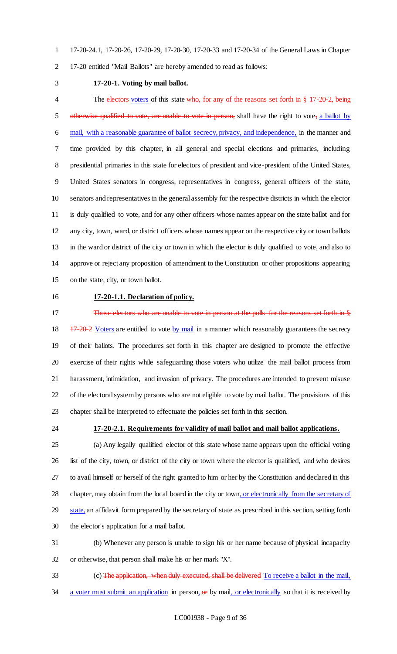17-20-24.1, 17-20-26, 17-20-29, 17-20-30, 17-20-33 and 17-20-34 of the General Laws in Chapter

17-20 entitled "Mail Ballots" are hereby amended to read as follows:

#### **17-20-1. Voting by mail ballot.**

4 The electors voters of this state who, for any of the reasons set forth in § 17-20-2, being 5 otherwise qualified to vote, are unable to vote in person, shall have the right to vote, a ballot by mail, with a reasonable guarantee of ballot secrecy, privacy, and independence, in the manner and time provided by this chapter, in all general and special elections and primaries, including presidential primaries in this state for electors of president and vice-president of the United States, United States senators in congress, representatives in congress, general officers of the state, senators and representatives in the general assembly for the respective districts in which the elector is duly qualified to vote, and for any other officers whose names appear on the state ballot and for any city, town, ward, or district officers whose names appear on the respective city or town ballots in the ward or district of the city or town in which the elector is duly qualified to vote, and also to approve or reject any proposition of amendment to the Constitution or other propositions appearing on the state, city, or town ballot.

#### **17-20-1.1. Declaration of policy.**

17 Those electors who are unable to vote in person at the polls for the reasons set forth in § 18 17-20-2 Voters are entitled to vote by mail in a manner which reasonably guarantees the secrecy of their ballots. The procedures set forth in this chapter are designed to promote the effective exercise of their rights while safeguarding those voters who utilize the mail ballot process from harassment, intimidation, and invasion of privacy. The procedures are intended to prevent misuse of the electoral system by persons who are not eligible to vote by mail ballot. The provisions of this chapter shall be interpreted to effectuate the policies set forth in this section.

#### **17-20-2.1. Requirements for validity of mail ballot and mail ballot applications.**

 (a) Any legally qualified elector of this state whose name appears upon the official voting list of the city, town, or district of the city or town where the elector is qualified, and who desires to avail himself or herself of the right granted to him or her by the Constitution and declared in this chapter, may obtain from the local board in the city or town, or electronically from the secretary of 29 state, an affidavit form prepared by the secretary of state as prescribed in this section, setting forth the elector's application for a mail ballot.

 (b) Whenever any person is unable to sign his or her name because of physical incapacity or otherwise, that person shall make his or her mark "X".

33 (c) The application, when duly executed, shall be delivered To receive a ballot in the mail, 34 a voter must submit an application in person, or by mail, or electronically so that it is received by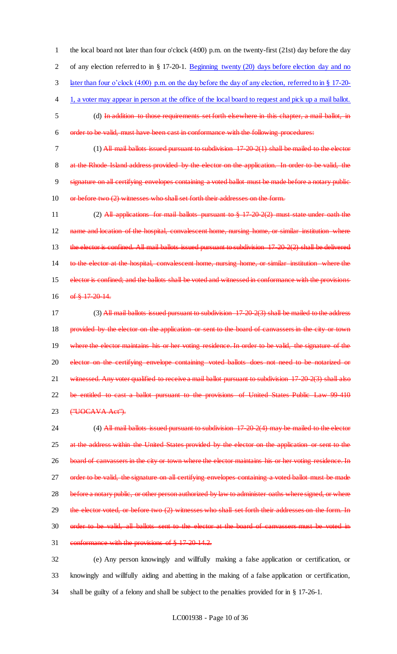the local board not later than four o'clock (4:00) p.m. on the twenty-first (21st) day before the day of any election referred to in § 17-20-1. Beginning twenty (20) days before election day and no later than four o'clock (4:00) p.m. on the day before the day of any election, referred to in § 17-20- 1, a voter may appear in person at the office of the local board to request and pick up a mail ballot. (d) In addition to those requirements set forth elsewhere in this chapter, a mail ballot, in order to be valid, must have been cast in conformance with the following procedures: (1) All mail ballots issued pursuant to subdivision 17-20-2(1) shall be mailed to the elector 8 at the Rhode Island address provided by the elector on the application. In order to be valid, the 9 signature on all certifying envelopes containing a voted ballot must be made before a notary public-10 or before two (2) witnesses who shall set forth their addresses on the form.

11 (2) All applications for mail ballots pursuant to § 17-20-2(2) must state under oath the 12 name and location of the hospital, convalescent home, nursing home, or similar institution where 13 the elector is confined. All mail ballots issued pursuant to subdivision 17-20-2(2) shall be delivered 14 to the elector at the hospital, convalescent home, nursing home, or similar institution where the 15 elector is confined; and the ballots shall be voted and witnessed in conformance with the provisions 16 of  $\frac{1}{20}$  17-20-14.

17 (3) All mail ballots issued pursuant to subdivision 17-20-2(3) shall be mailed to the addre 18 provided by the elector on the application or sent to the board of canvassers in the city or town 19 where the elector maintains his or her voting residence. In order to be valid, the signature of the 20 elector on the certifying envelope containing voted ballots does not need to be notarized or 21 witnessed. Any voter qualified to receive a mail ballot pursuant to subdivision 17-20-2(3) shall also 22 be entitled to cast a ballot pursuant to the provisions of United States Public Law 99-410 23 ("UOCAVA Act").

24 (4) All mail ballots issued pursuant to subdivision 17-20-2(4) may be mailed to the elector 25 at the address within the United States provided by the elector on the application or sent to the 26 board of canvassers in the city or town where the elector maintains his or her voting residence. In 27 order to be valid, the signature on all certifying envelopes containing a voted ballot must be made 28 before a notary public, or other person authorized by law to administer oaths where signed, or where 29 the elector voted, or before two (2) witnesses who shall set forth their addresses on the form. In 30 order to be valid, all ballots sent to the elector at the board of canvassers must be voted in 31 conformance with the provisions of § 17-20-14.2.

32 (e) Any person knowingly and willfully making a false application or certification, or 33 knowingly and willfully aiding and abetting in the making of a false application or certification, 34 shall be guilty of a felony and shall be subject to the penalties provided for in § 17-26-1.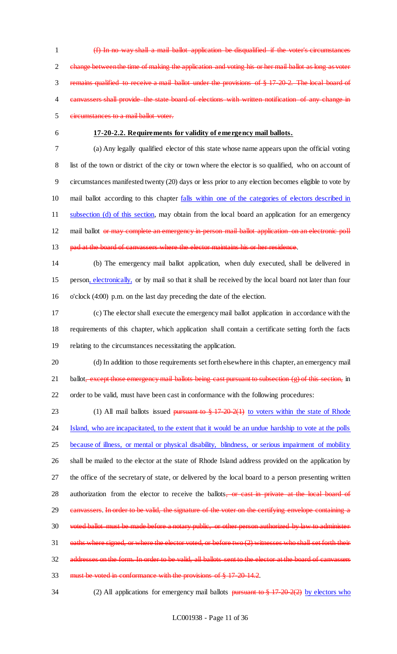1 (f) In no way shall a mail ballot application be disqualified if the voter's circumstances 2 change between the time of making the application and voting his or her mail ballot as long as voter 3 remains qualified to receive a mail ballot under the provisions of § 17-20-2. The local board of 4 canvassers shall provide the state board of elections with written notification of any change in 5 circumstances to a mail ballot voter.

#### 6 **17-20-2.2. Requirements for validity of emergency mail ballots.**

7 (a) Any legally qualified elector of this state whose name appears upon the official voting 8 list of the town or district of the city or town where the elector is so qualified, who on account of 9 circumstances manifested twenty (20) days or less prior to any election becomes eligible to vote by 10 mail ballot according to this chapter falls within one of the categories of electors described in 11 subsection (d) of this section, may obtain from the local board an application for an emergency 12 mail ballot or may complete an emergency in-person mail ballot application on an electronic poll 13 pad at the board of canvassers where the elector maintains his or her residence.

14 (b) The emergency mail ballot application, when duly executed, shall be delivered in 15 person, electronically, or by mail so that it shall be received by the local board not later than four 16 o'clock (4:00) p.m. on the last day preceding the date of the election.

- 17 (c) The elector shall execute the emergency mail ballot application in accordance with the 18 requirements of this chapter, which application shall contain a certificate setting forth the facts 19 relating to the circumstances necessitating the application.
- 20 (d) In addition to those requirements set forth elsewhere in this chapter, an emergency mail 21 ballot, except those emergency mail ballots being cast pursuant to subsection (g) of this section, in 22 order to be valid, must have been cast in conformance with the following procedures:

23 (1) All mail ballots issued <del>pursuant to  $\frac{8}{3}$  17 20 2(1)</del> to voters within the state of Rhode 24 Island, who are incapacitated, to the extent that it would be an undue hardship to vote at the polls 25 because of illness, or mental or physical disability, blindness, or serious impairment of mobility 26 shall be mailed to the elector at the state of Rhode Island address provided on the application by 27 the office of the secretary of state, or delivered by the local board to a person presenting written 28 authorization from the elector to receive the ballots, or cast in private at the local board of 29 canvassers. In order to be valid, the signature of the voter on the certifying envelope containing a 30 voted ballot must be made before a notary public, or other person authorized by law to administer 31 oaths where signed, or where the elector voted, or before two (2) witnesses who shall set forth their 32 addresses on the form. In order to be valid, all ballots sent to the elector at the board of canvassers 33 must be voted in conformance with the provisions of § 17-20-14.2.

34 (2) All applications for emergency mail ballots pursuant to § 17-20-2(2) by electors who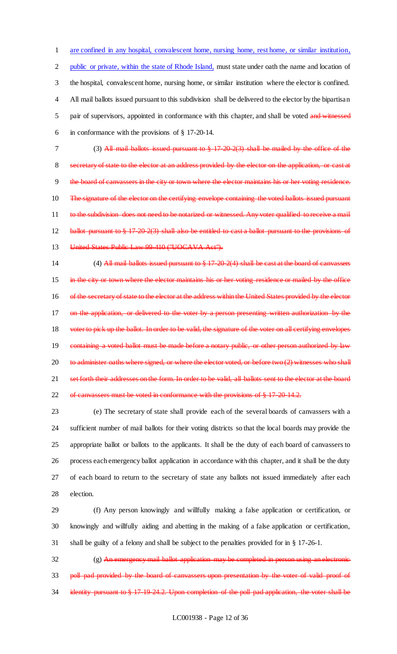are confined in any hospital, convalescent home, nursing home, rest home, or similar institution, public or private, within the state of Rhode Island, must state under oath the name and location of the hospital, convalescent home, nursing home, or similar institution where the elector is confined. All mail ballots issued pursuant to this subdivision shall be delivered to the elector by the bipartisan 5 pair of supervisors, appointed in conformance with this chapter, and shall be voted and witnessed in conformance with the provisions of § 17-20-14.

7 (3) All mail ballots issued pursuant to § 17-20-2(3) shall be mailed by the office of the 8 secretary of state to the elector at an address provided by the elector on the application, or cast at 9 the board of canvassers in the city or town where the elector maintains his or her voting residence. 10 The signature of the elector on the certifying envelope containing the voted ballots issued pursuant 11 to the subdivision does not need to be notarized or witnessed. Any voter qualified to receive a mail 12 ballot pursuant to § 17-20-2(3) shall also be entitled to cast a ballot pursuant to the provisions of 13 United States Public Law 99 410 ("UOCAVA Act").

14 (4) All mail ballots issued pursuant to § 17-20-2(4) shall be cast at the board of canvassers 15 in the city or town where the elector maintains his or her voting residence or mailed by the office 16 of the secretary of state to the elector at the address within the United States provided by the elector 17 on the application, or delivered to the voter by a person presenting written authorization by the 18 voter to pick up the ballot. In order to be valid, the signature of the voter on all certifying envelopes 19 containing a voted ballot must be made before a notary public, or other person authorized by law 20 to administer oaths where signed, or where the elector voted, or before two (2) witnesses who shall 21 set forth their addresses on the form. In order to be valid, all ballots sent to the elector at the board 22 of canvassers must be voted in conformance with the provisions of § 17-20-14.2.

 (e) The secretary of state shall provide each of the several boards of canvassers with a sufficient number of mail ballots for their voting districts so that the local boards may provide the appropriate ballot or ballots to the applicants. It shall be the duty of each board of canvassers to process each emergency ballot application in accordance with this chapter, and it shall be the duty of each board to return to the secretary of state any ballots not issued immediately after each election.

29 (f) Any person knowingly and willfully making a false application or certification, or 30 knowingly and willfully aiding and abetting in the making of a false application or certification, 31 shall be guilty of a felony and shall be subject to the penalties provided for in § 17-26-1.

32 (g) An emergency mail ballot application may be completed in person using an electronic 33 poll pad provided by the board of canvassers upon presentation by the voter of valid proof of 34 identity pursuant to § 17-19-24.2. Upon completion of the poll-pad application, the voter shall be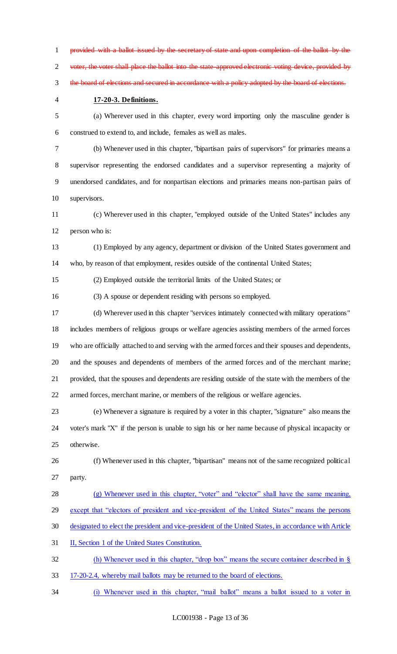1 provided with a ballot issued by the secretary of state and upon completion of the ballot 2 voter, the voter shall place the ballot into the state-approved electronic voting device, provided by 3 the board of elections and secured in accordance with a policy adopted by the board of elections.

#### **17-20-3. Definitions.**

 (a) Wherever used in this chapter, every word importing only the masculine gender is construed to extend to, and include, females as well as males.

 (b) Whenever used in this chapter, "bipartisan pairs of supervisors" for primaries means a supervisor representing the endorsed candidates and a supervisor representing a majority of unendorsed candidates, and for nonpartisan elections and primaries means non-partisan pairs of supervisors.

 (c) Wherever used in this chapter, "employed outside of the United States" includes any person who is:

 (1) Employed by any agency, department or division of the United States government and who, by reason of that employment, resides outside of the continental United States;

(2) Employed outside the territorial limits of the United States; or

(3) A spouse or dependent residing with persons so employed.

 (d) Wherever used in this chapter "services intimately connected with military operations" includes members of religious groups or welfare agencies assisting members of the armed forces who are officially attached to and serving with the armed forces and their spouses and dependents, and the spouses and dependents of members of the armed forces and of the merchant marine; provided, that the spouses and dependents are residing outside of the state with the members of the armed forces, merchant marine, or members of the religious or welfare agencies.

 (e) Whenever a signature is required by a voter in this chapter, "signature" also means the voter's mark "X" if the person is unable to sign his or her name because of physical incapacity or otherwise.

 (f) Whenever used in this chapter, "bipartisan" means not of the same recognized political party.

 (g) Whenever used in this chapter, "voter" and "elector" shall have the same meaning, except that "electors of president and vice-president of the United States" means the persons designated to elect the president and vice-president of the United States, in accordance with Article II, Section 1 of the United States Constitution.

(h) Whenever used in this chapter, "drop box" means the secure container described in §

- 17-20-2.4, whereby mail ballots may be returned to the board of elections.
- (i) Whenever used in this chapter, "mail ballot" means a ballot issued to a voter in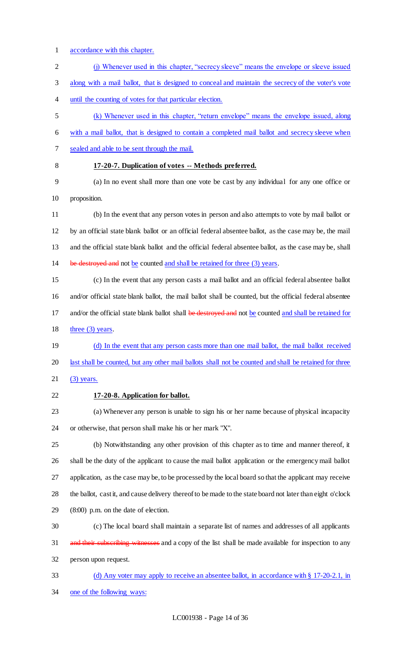- accordance with this chapter.
- (j) Whenever used in this chapter, "secrecy sleeve" means the envelope or sleeve issued along with a mail ballot, that is designed to conceal and maintain the secrecy of the voter's vote until the counting of votes for that particular election.
- (k) Whenever used in this chapter, "return envelope" means the envelope issued, along
- with a mail ballot, that is designed to contain a completed mail ballot and secrecy sleeve when
- sealed and able to be sent through the mail.
- 

# **17-20-7. Duplication of votes -- Methods preferred.**

- (a) In no event shall more than one vote be cast by any individual for any one office or proposition.
- (b) In the event that any person votes in person and also attempts to vote by mail ballot or by an official state blank ballot or an official federal absentee ballot, as the case may be, the mail and the official state blank ballot and the official federal absentee ballot, as the case may be, shall 14 be destroyed and not be counted and shall be retained for three (3) years.
- (c) In the event that any person casts a mail ballot and an official federal absentee ballot and/or official state blank ballot, the mail ballot shall be counted, but the official federal absentee 17 and/or the official state blank ballot shall be destroyed and not be counted and shall be retained for 18 three (3) years.
- 19 (d) In the event that any person casts more than one mail ballot, the mail ballot received last shall be counted, but any other mail ballots shall not be counted and shall be retained for three
- 21 (3) years.
- **17-20-8. Application for ballot.**

 (a) Whenever any person is unable to sign his or her name because of physical incapacity or otherwise, that person shall make his or her mark "X".

 (b) Notwithstanding any other provision of this chapter as to time and manner thereof, it shall be the duty of the applicant to cause the mail ballot application or the emergency mail ballot application, as the case may be, to be processed by the local board so that the applicant may receive 28 the ballot, cast it, and cause delivery thereof to be made to the state board not later than eight o'clock (8:00) p.m. on the date of election.

- (c) The local board shall maintain a separate list of names and addresses of all applicants 31 and their subscribing witnesses and a copy of the list shall be made available for inspection to any person upon request.
- (d) Any voter may apply to receive an absentee ballot, in accordance with § 17-20-2.1, in one of the following ways: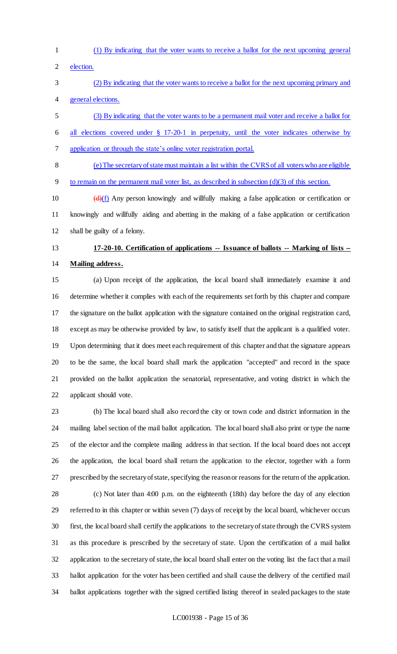- 
- (1) By indicating that the voter wants to receive a ballot for the next upcoming general
- election.
- (2) By indicating that the voter wants to receive a ballot for the next upcoming primary and general elections.
- (3) By indicating that the voter wants to be a permanent mail voter and receive a ballot for
- all elections covered under § 17-20-1 in perpetuity, until the voter indicates otherwise by application or through the state's online voter registration portal.
- (e) The secretary of state must maintain a list within the CVRS of all voters who are eligible
- to remain on the permanent mail voter list, as described in subsection (d)(3) of this section.
- 10  $(d)(f)$  Any person knowingly and willfully making a false application or certification or knowingly and willfully aiding and abetting in the making of a false application or certification shall be guilty of a felony.

# **17-20-10. Certification of applications -- Issuance of ballots -- Marking of lists -- Mailing address.**

 (a) Upon receipt of the application, the local board shall immediately examine it and determine whether it complies with each of the requirements set forth by this chapter and compare the signature on the ballot application with the signature contained on the original registration card, except as may be otherwise provided by law, to satisfy itself that the applicant is a qualified voter. Upon determining that it does meet each requirement of this chapter and that the signature appears to be the same, the local board shall mark the application "accepted" and record in the space provided on the ballot application the senatorial, representative, and voting district in which the applicant should vote.

 (b) The local board shall also record the city or town code and district information in the mailing label section of the mail ballot application. The local board shall also print or type the name of the elector and the complete mailing address in that section. If the local board does not accept the application, the local board shall return the application to the elector, together with a form prescribed by the secretary of state, specifying the reason or reasons for the return of the application.

 (c) Not later than 4:00 p.m. on the eighteenth (18th) day before the day of any election referred to in this chapter or within seven (7) days of receipt by the local board, whichever occurs first, the local board shall certify the applications to the secretary of state through the CVRS system as this procedure is prescribed by the secretary of state. Upon the certification of a mail ballot application to the secretary of state, the local board shall enter on the voting list the fact that a mail ballot application for the voter has been certified and shall cause the delivery of the certified mail ballot applications together with the signed certified listing thereof in sealed packages to the state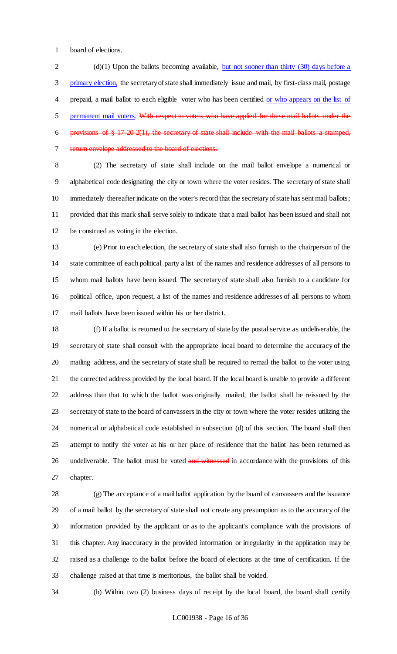board of elections.

2 (d)(1) Upon the ballots becoming available, but not sooner than thirty (30) days before a primary election, the secretary of state shall immediately issue and mail, by first-class mail, postage prepaid, a mail ballot to each eligible voter who has been certified or who appears on the list of 5 permanent mail voters. With respect to voters who have applied for these mail ballots under the 6 provisions of  $\S 17-20-2(1)$ , the secretary of state shall include with the mail ballots a stamped, return envelope addressed to the board of elections.

 (2) The secretary of state shall include on the mail ballot envelope a numerical or alphabetical code designating the city or town where the voter resides. The secretary of state shall immediately thereafter indicate on the voter's record that the secretary of state has sent mail ballots; provided that this mark shall serve solely to indicate that a mail ballot has been issued and shall not be construed as voting in the election.

 (e) Prior to each election, the secretary of state shall also furnish to the chairperson of the state committee of each political party a list of the names and residence addresses of all persons to whom mail ballots have been issued. The secretary of state shall also furnish to a candidate for political office, upon request, a list of the names and residence addresses of all persons to whom mail ballots have been issued within his or her district.

 (f) If a ballot is returned to the secretary of state by the postal service as undeliverable, the secretary of state shall consult with the appropriate local board to determine the accuracy of the mailing address, and the secretary of state shall be required to remail the ballot to the voter using the corrected address provided by the local board. If the local board is unable to provide a different address than that to which the ballot was originally mailed, the ballot shall be reissued by the secretary of state to the board of canvassers in the city or town where the voter resides utilizing the numerical or alphabetical code established in subsection (d) of this section. The board shall then attempt to notify the voter at his or her place of residence that the ballot has been returned as 26 undeliverable. The ballot must be voted and witnessed in accordance with the provisions of this chapter.

 (g) The acceptance of a mail ballot application by the board of canvassers and the issuance of a mail ballot by the secretary of state shall not create any presumption as to the accuracy of the information provided by the applicant or as to the applicant's compliance with the provisions of this chapter. Any inaccuracy in the provided information or irregularity in the application may be raised as a challenge to the ballot before the board of elections at the time of certification. If the challenge raised at that time is meritorious, the ballot shall be voided.

(h) Within two (2) business days of receipt by the local board, the board shall certify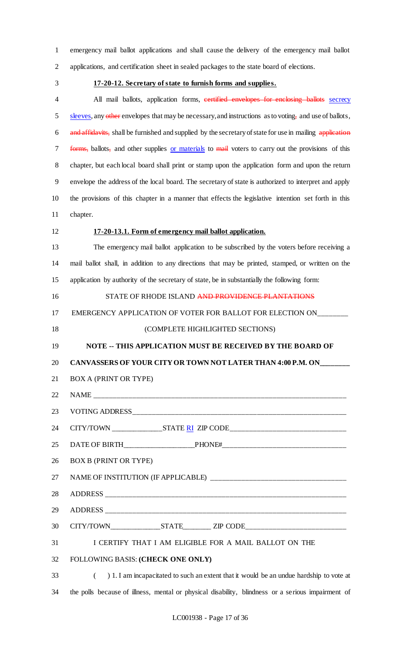emergency mail ballot applications and shall cause the delivery of the emergency mail ballot applications, and certification sheet in sealed packages to the state board of elections.

#### **17-20-12. Secretary of state to furnish forms and supplies.**

4 All mail ballots, application forms, certified envelopes for enclosing ballots secrecy 5 sleeves, any other envelopes that may be necessary, and instructions as to voting, and use of ballots, 6 and affidavits, shall be furnished and supplied by the secretary of state for use in mailing application 7 forms, ballots, and other supplies or materials to mail voters to carry out the provisions of this chapter, but each local board shall print or stamp upon the application form and upon the return envelope the address of the local board. The secretary of state is authorized to interpret and apply the provisions of this chapter in a manner that effects the legislative intention set forth in this chapter.

# **17-20-13.1. Form of emergency mail ballot application.**

 The emergency mail ballot application to be subscribed by the voters before receiving a mail ballot shall, in addition to any directions that may be printed, stamped, or written on the application by authority of the secretary of state, be in substantially the following form:

16 STATE OF RHODE ISLAND AND PROVIDENCE PLANTATIONS

17 EMERGENCY APPLICATION OF VOTER FOR BALLOT FOR ELECTION ON

# (COMPLETE HIGHLIGHTED SECTIONS)

#### **NOTE -- THIS APPLICATION MUST BE RECEIVED BY THE BOARD OF**

#### **CANVASSERS OF YOUR CITY OR TOWN NOT LATER THAN 4:00 P.M. ON\_\_\_\_\_\_\_\_**

BOX A (PRINT OR TYPE)

# 22 NAME

23 VOTING ADDRESS

CITY/TOWN \_\_\_\_\_\_\_\_\_\_\_\_\_\_STATE RI ZIP CODE\_\_\_\_\_\_\_\_\_\_\_\_\_\_\_\_\_\_\_\_\_\_\_\_\_\_\_\_\_\_

DATE OF BIRTH\_\_\_\_\_\_\_\_\_\_\_\_\_\_\_\_\_\_\_\_PHONE#\_\_\_\_\_\_\_\_\_\_\_\_\_\_\_\_\_\_\_\_\_\_\_\_\_\_\_\_\_\_\_\_

BOX B (PRINT OR TYPE)

27 NAME OF INSTITUTION (IF APPLICABLE)

28 ADDRESS

ADDRESS \_\_\_\_\_\_\_\_\_\_\_\_\_\_\_\_\_\_\_\_\_\_\_\_\_\_\_\_\_\_\_\_\_\_\_\_\_\_\_\_\_\_\_\_\_\_\_\_\_\_\_\_\_\_\_\_\_\_\_\_\_\_

30 CITY/TOWN\_\_\_\_\_\_\_\_\_\_\_\_\_\_\_\_\_STATE\_\_\_\_\_\_\_\_\_ ZIP CODE\_\_\_\_\_\_\_\_\_\_\_\_\_\_\_\_\_\_\_\_\_\_\_\_\_\_\_\_

I CERTIFY THAT I AM ELIGIBLE FOR A MAIL BALLOT ON THE

FOLLOWING BASIS: **(CHECK ONE ONLY)**

 ( ) 1. I am incapacitated to such an extent that it would be an undue hardship to vote at the polls because of illness, mental or physical disability, blindness or a serious impairment of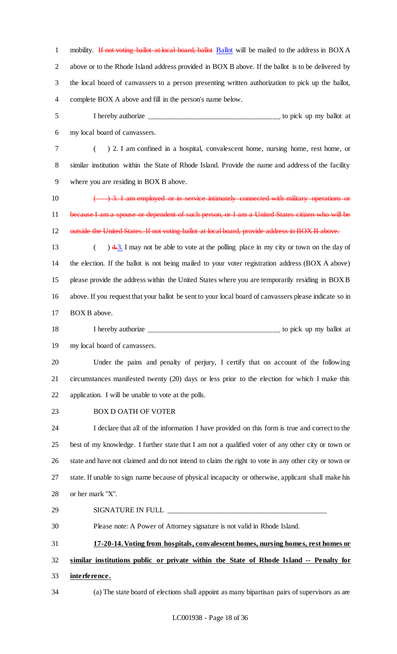1 mobility. If not voting ballot at local board, ballot Ballot will be mailed to the address in BOX A above or to the Rhode Island address provided in BOX B above. If the ballot is to be delivered by the local board of canvassers to a person presenting written authorization to pick up the ballot, complete BOX A above and fill in the person's name below.

 I hereby authorize \_\_\_\_\_\_\_\_\_\_\_\_\_\_\_\_\_\_\_\_\_\_\_\_\_\_\_\_\_\_\_\_\_\_ to pick up my ballot at my local board of canvassers.

 ( ) 2. I am confined in a hospital, convalescent home, nursing home, rest home, or similar institution within the State of Rhode Island. Provide the name and address of the facility where you are residing in BOX B above.

10  $\leftarrow$  3. I am employed or in service intimately connected with military operations or because I am a spouse or dependent of such person, or I am a United States citizen who will be 12 outside the United States. If not voting ballot at local board, provide address in BOX B above.

- 13 (a)  $\frac{4.3}{4.3}$  I may not be able to vote at the polling place in my city or town on the day of the election. If the ballot is not being mailed to your voter registration address (BOX A above) please provide the address within the United States where you are temporarily residing in BOX B above. If you request that your ballot be sent to your local board of canvassers please indicate so in 17 BOX B above.
- I hereby authorize \_\_\_\_\_\_\_\_\_\_\_\_\_\_\_\_\_\_\_\_\_\_\_\_\_\_\_\_\_\_\_\_\_\_ to pick up my ballot at

my local board of canvassers.

 Under the pains and penalty of perjury, I certify that on account of the following circumstances manifested twenty (20) days or less prior to the election for which I make this application. I will be unable to vote at the polls.

BOX D OATH OF VOTER

 I declare that all of the information I have provided on this form is true and correct to the best of my knowledge. I further state that I am not a qualified voter of any other city or town or state and have not claimed and do not intend to claim the right to vote in any other city or town or state. If unable to sign name because of physical incapacity or otherwise, applicant shall make his or her mark "X".

 SIGNATURE IN FULL \_\_\_\_\_\_\_\_\_\_\_\_\_\_\_\_\_\_\_\_\_\_\_\_\_\_\_\_\_\_\_\_\_\_\_\_\_\_\_\_\_ Please note: A Power of Attorney signature is not valid in Rhode Island. **17-20-14. Voting from hospitals, convalescent homes, nursing homes, rest homes or** 

 **similar institutions public or private within the State of Rhode Island -- Penalty for interference.**

(a) The state board of elections shall appoint as many bipartisan pairs of supervisors as are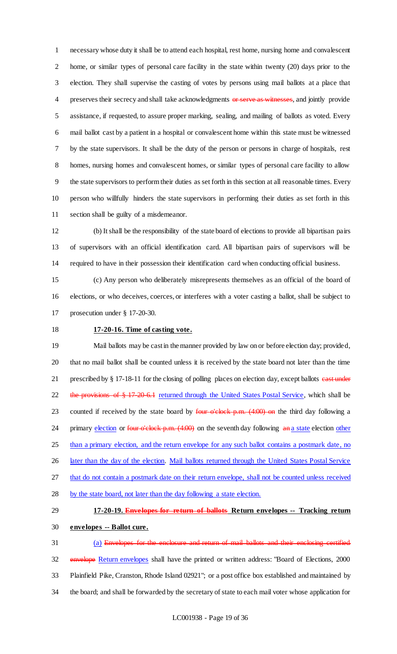necessary whose duty it shall be to attend each hospital, rest home, nursing home and convalescent home, or similar types of personal care facility in the state within twenty (20) days prior to the election. They shall supervise the casting of votes by persons using mail ballots at a place that 4 preserves their secrecy and shall take acknowledgments or serve as witnesses, and jointly provide assistance, if requested, to assure proper marking, sealing, and mailing of ballots as voted. Every mail ballot cast by a patient in a hospital or convalescent home within this state must be witnessed by the state supervisors. It shall be the duty of the person or persons in charge of hospitals, rest homes, nursing homes and convalescent homes, or similar types of personal care facility to allow the state supervisors to perform their duties as set forth in this section at all reasonable times. Every person who willfully hinders the state supervisors in performing their duties as set forth in this section shall be guilty of a misdemeanor.

 (b) It shall be the responsibility of the state board of elections to provide all bipartisan pairs of supervisors with an official identification card. All bipartisan pairs of supervisors will be required to have in their possession their identification card when conducting official business.

 (c) Any person who deliberately misrepresents themselves as an official of the board of elections, or who deceives, coerces, or interferes with a voter casting a ballot, shall be subject to prosecution under § 17-20-30.

### **17-20-16. Time of casting vote.**

 Mail ballots may be cast in the manner provided by law on or before election day; provided, that no mail ballot shall be counted unless it is received by the state board not later than the time 21 prescribed by § 17-18-11 for the closing of polling places on election day, except ballots east under 22 the provisions of § 17-20-6.1 returned through the United States Postal Service, which shall be 23 counted if received by the state board by  $\frac{\text{four - o'clock - p.m.} (4:00) \cdot \text{on}}{\text{p.m.}}$  the third day following a 24 primary election or four o'clock p.m. (4:00) on the seventh day following an a state election other 25 than a primary election, and the return envelope for any such ballot contains a postmark date, no 26 later than the day of the election. Mail ballots returned through the United States Postal Service that do not contain a postmark date on their return envelope, shall not be counted unless received by the state board, not later than the day following a state election.

# **17-20-19. Envelopes for return of ballots Return envelopes -- Tracking return envelopes -- Ballot cure.**

 (a) Envelopes for the enclosure and return of mail ballots and their enclosing certified 32 envelope Return envelopes shall have the printed or written address: "Board of Elections, 2000 Plainfield Pike, Cranston, Rhode Island 02921"; or a post office box established and maintained by the board; and shall be forwarded by the secretary of state to each mail voter whose application for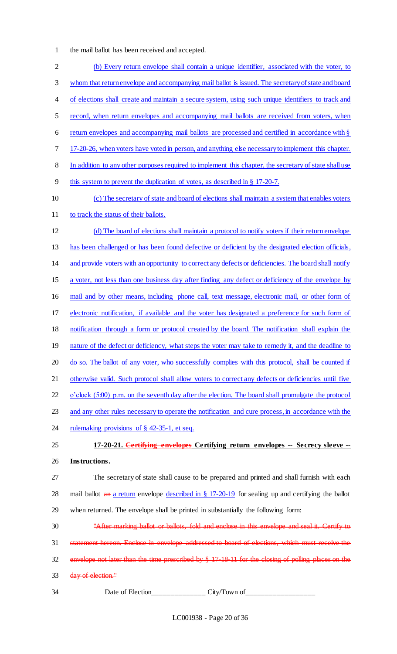the mail ballot has been received and accepted.

 (b) Every return envelope shall contain a unique identifier, associated with the voter, to whom that return envelope and accompanying mail ballot is issued. The secretary of state and board 4 of elections shall create and maintain a secure system, using such unique identifiers to track and record, when return envelopes and accompanying mail ballots are received from voters, when 6 return envelopes and accompanying mail ballots are processed and certified in accordance with § 17-20-26, when voters have voted in person, and anything else necessary to implement this chapter. In addition to any other purposes required to implement this chapter, the secretary of state shall use this system to prevent the duplication of votes, as described in § 17-20-7. (c) The secretary of state and board of elections shall maintain a system that enables voters 11 to track the status of their ballots. (d) The board of elections shall maintain a protocol to notify voters if their return envelope has been challenged or has been found defective or deficient by the designated election officials, and provide voters with an opportunity to correct any defects or deficiencies. The board shall notify a voter, not less than one business day after finding any defect or deficiency of the envelope by mail and by other means, including phone call, text message, electronic mail, or other form of electronic notification, if available and the voter has designated a preference for such form of notification through a form or protocol created by the board. The notification shall explain the 19 nature of the defect or deficiency, what steps the voter may take to remedy it, and the deadline to 20 do so. The ballot of any voter, who successfully complies with this protocol, shall be counted if 21 otherwise valid. Such protocol shall allow voters to correct any defects or deficiencies until five 22 o'clock (5:00) p.m. on the seventh day after the election. The board shall promulgate the protocol and any other rules necessary to operate the notification and cure process, in accordance with the 24 rulemaking provisions of § 42-35-1, et seq. **17-20-21. Certifying envelopes Certifying return envelopes -- Secrecy sleeve -- Instructions.** The secretary of state shall cause to be prepared and printed and shall furnish with each 28 mail ballot an a return envelope described in § 17-20-19 for sealing up and certifying the ballot when returned. The envelope shall be printed in substantially the following form: "After marking ballot or ballots, fold and enclose in this envelope and seal it. Certify to statement hereon. Enclose in envelope addressed to board of elections, which must receive the envelope not later than the time prescribed by § 17-18-11 for the closing of polling places on the 33 day of election." Date of Election\_\_\_\_\_\_\_\_\_\_\_\_\_\_ City/Town of\_\_\_\_\_\_\_\_\_\_\_\_\_\_\_\_\_\_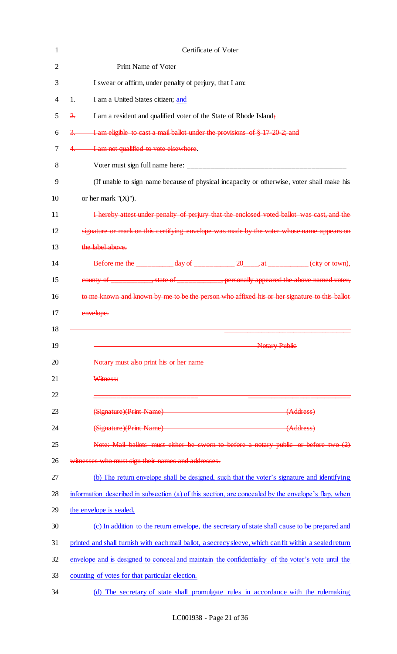|                 | Certificate of Voter                                                                                                                                                                                                                                                                                                                                                                                                     |
|-----------------|--------------------------------------------------------------------------------------------------------------------------------------------------------------------------------------------------------------------------------------------------------------------------------------------------------------------------------------------------------------------------------------------------------------------------|
|                 | Print Name of Voter                                                                                                                                                                                                                                                                                                                                                                                                      |
|                 | I swear or affirm, under penalty of perjury, that I am:                                                                                                                                                                                                                                                                                                                                                                  |
| 1.              | I am a United States citizen; and                                                                                                                                                                                                                                                                                                                                                                                        |
| $\frac{2}{\pi}$ | I am a resident and qualified voter of the State of Rhode Island;                                                                                                                                                                                                                                                                                                                                                        |
| $\frac{3}{2}$   | I am eligible to cast a mail ballot under the provisions of § 17 20 2; and                                                                                                                                                                                                                                                                                                                                               |
| 4.              | I am not qualified to vote elsewhere.                                                                                                                                                                                                                                                                                                                                                                                    |
|                 |                                                                                                                                                                                                                                                                                                                                                                                                                          |
|                 | (If unable to sign name because of physical incapacity or otherwise, voter shall make his                                                                                                                                                                                                                                                                                                                                |
|                 | or her mark $''(X)$ ").                                                                                                                                                                                                                                                                                                                                                                                                  |
|                 | I hereby attest under penalty of perjury that the enclosed voted ballot was cast, and the                                                                                                                                                                                                                                                                                                                                |
|                 | signature or mark on this certifying envelope was made by the voter whose name appears on                                                                                                                                                                                                                                                                                                                                |
|                 | the label above.                                                                                                                                                                                                                                                                                                                                                                                                         |
|                 | Before me the $\frac{day \text{ of } 20 \text{ and } 40 \text{ of } 20 \text{ and } 20 \text{ of } 20 \text{ of } 20 \text{ of } 20 \text{ of } 20 \text{ of } 20 \text{ of } 20 \text{ of } 20 \text{ of } 20 \text{ of } 20 \text{ of } 20 \text{ of } 20 \text{ of } 20 \text{ of } 20 \text{ of } 20 \text{ of } 20 \text{ of } 20 \text{ of } 20 \text{ of } 20 \text{ of } 20 \text{ of } 20 \text{ of } 20 \text$ |
|                 | county of ______________, state of ______________, personally appeared the above named voter,                                                                                                                                                                                                                                                                                                                            |
|                 | to me known and known by me to be the person who affixed his or her signature to this ballot                                                                                                                                                                                                                                                                                                                             |
|                 | envelope.                                                                                                                                                                                                                                                                                                                                                                                                                |
|                 |                                                                                                                                                                                                                                                                                                                                                                                                                          |
|                 | <b>Notary Public</b>                                                                                                                                                                                                                                                                                                                                                                                                     |
|                 | Notary must also print his or her name                                                                                                                                                                                                                                                                                                                                                                                   |
|                 | Witness:                                                                                                                                                                                                                                                                                                                                                                                                                 |
|                 |                                                                                                                                                                                                                                                                                                                                                                                                                          |
|                 | (Signature)(Print Name) (Address)                                                                                                                                                                                                                                                                                                                                                                                        |
|                 | (Signature)(Print Name) (Address)                                                                                                                                                                                                                                                                                                                                                                                        |
|                 | Note: Mail ballots must either be sworn to before a notary public or before two (2)                                                                                                                                                                                                                                                                                                                                      |
|                 | witnesses who must sign their names and addresses.                                                                                                                                                                                                                                                                                                                                                                       |
|                 | (b) The return envelope shall be designed, such that the voter's signature and identifying                                                                                                                                                                                                                                                                                                                               |
|                 | information described in subsection (a) of this section, are concealed by the envelope's flap, when                                                                                                                                                                                                                                                                                                                      |
|                 | the envelope is sealed.                                                                                                                                                                                                                                                                                                                                                                                                  |
|                 | (c) In addition to the return envelope, the secretary of state shall cause to be prepared and                                                                                                                                                                                                                                                                                                                            |
|                 | printed and shall furnish with each mail ballot, a secrecy sleeve, which can fit within a sealed return                                                                                                                                                                                                                                                                                                                  |
|                 | envelope and is designed to conceal and maintain the confidentiality of the voter's vote until the                                                                                                                                                                                                                                                                                                                       |
|                 |                                                                                                                                                                                                                                                                                                                                                                                                                          |
|                 | counting of votes for that particular election.                                                                                                                                                                                                                                                                                                                                                                          |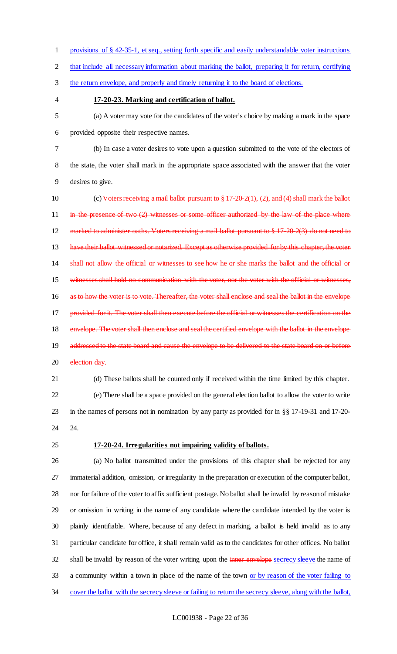- provisions of § 42-35-1, et seq., setting forth specific and easily understandable voter instructions that include all necessary information about marking the ballot, preparing it for return, certifying the return envelope, and properly and timely returning it to the board of elections.
- 

#### **17-20-23. Marking and certification of ballot.**

 (a) A voter may vote for the candidates of the voter's choice by making a mark in the space provided opposite their respective names.

 (b) In case a voter desires to vote upon a question submitted to the vote of the electors of the state, the voter shall mark in the appropriate space associated with the answer that the voter desires to give.

 (c) Voters receiving a mail ballot pursuant to § 17-20-2(1), (2), and (4) shall mark the ballot in the presence of two  $(2)$  witnesses or some officer authorized by the law of the place where 12 marked to administer oaths. Voters receiving a mail ballot pursuant to § 17-20-2(3) do not need to 13 have their ballot witnessed or notarized. Except as otherwise provided for by this chapter, the voter shall not allow the official or witnesses to see how he or she marks the ballot and the official or witnesses shall hold no communication with the voter, nor the voter with the official or witnesses, 16 as to how the voter is to vote. Thereafter, the voter shall enclose and seal the ballot in the envelope 17 provided for it. The voter shall then execute before the official or witnesses the certification on the 18 envelope. The voter shall then enclose and seal the certified envelope with the ballot in the envelope addressed to the state board and cause the envelope to be delivered to the state board on or before 20 election day.

 (d) These ballots shall be counted only if received within the time limited by this chapter. (e) There shall be a space provided on the general election ballot to allow the voter to write in the names of persons not in nomination by any party as provided for in §§ 17-19-31 and 17-20- 24.

#### **17-20-24. Irregularities not impairing validity of ballots.**

 (a) No ballot transmitted under the provisions of this chapter shall be rejected for any immaterial addition, omission, or irregularity in the preparation or execution of the computer ballot, nor for failure of the voter to affix sufficient postage. No ballot shall be invalid by reason of mistake or omission in writing in the name of any candidate where the candidate intended by the voter is plainly identifiable. Where, because of any defect in marking, a ballot is held invalid as to any particular candidate for office, it shall remain valid as to the candidates for other offices. No ballot 32 shall be invalid by reason of the voter writing upon the inner envelope secrecy sleeve the name of a community within a town in place of the name of the town or by reason of the voter failing to cover the ballot with the secrecy sleeve or failing to return the secrecy sleeve, along with the ballot,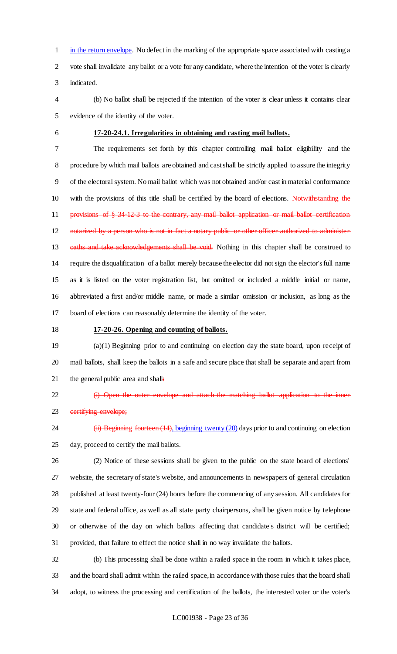in the return envelope. No defect in the marking of the appropriate space associated with casting a vote shall invalidate any ballot or a vote for any candidate, where the intention of the voter is clearly indicated.

- (b) No ballot shall be rejected if the intention of the voter is clear unless it contains clear evidence of the identity of the voter.
- 

#### **17-20-24.1. Irregularities in obtaining and casting mail ballots.**

 The requirements set forth by this chapter controlling mail ballot eligibility and the procedure by which mail ballots are obtained and cast shall be strictly applied to assure the integrity of the electoral system. No mail ballot which was not obtained and/or cast in material conformance with the provisions of this title shall be certified by the board of elections. Notwithstanding the 11 provisions of § 34-12-3 to the contrary, any mail ballot application or mail ballot certification 12 notarized by a person who is not in fact a notary public or other officer authorized to administer 13 oaths and take acknowledgements shall be void. Nothing in this chapter shall be construed to require the disqualification of a ballot merely because the elector did not sign the elector's full name as it is listed on the voter registration list, but omitted or included a middle initial or name, abbreviated a first and/or middle name, or made a similar omission or inclusion, as long as the board of elections can reasonably determine the identity of the voter.

#### **17-20-26. Opening and counting of ballots.**

 (a)(1) Beginning prior to and continuing on election day the state board, upon receipt of mail ballots, shall keep the ballots in a safe and secure place that shall be separate and apart from 21 the general public area and shall:

22 (i) Open the outer envelope and attach the matching ballot application to the inner 23 eertifying envelope;

24 (ii) Beginning fourteen (14), beginning twenty (20) days prior to and continuing on election day, proceed to certify the mail ballots.

 (2) Notice of these sessions shall be given to the public on the state board of elections' website, the secretary of state's website, and announcements in newspapers of general circulation published at least twenty-four (24) hours before the commencing of any session. All candidates for state and federal office, as well as all state party chairpersons, shall be given notice by telephone or otherwise of the day on which ballots affecting that candidate's district will be certified; provided, that failure to effect the notice shall in no way invalidate the ballots.

 (b) This processing shall be done within a railed space in the room in which it takes place, and the board shall admit within the railed space, in accordance with those rules that the board shall adopt, to witness the processing and certification of the ballots, the interested voter or the voter's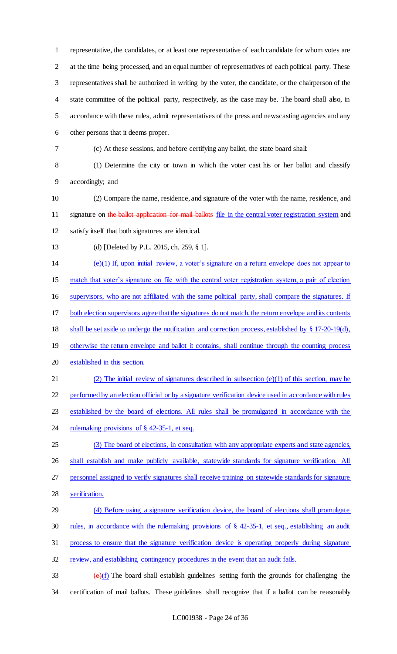representative, the candidates, or at least one representative of each candidate for whom votes are at the time being processed, and an equal number of representatives of each political party. These representatives shall be authorized in writing by the voter, the candidate, or the chairperson of the state committee of the political party, respectively, as the case may be. The board shall also, in accordance with these rules, admit representatives of the press and newscasting agencies and any other persons that it deems proper.

(c) At these sessions, and before certifying any ballot, the state board shall:

 (1) Determine the city or town in which the voter cast his or her ballot and classify accordingly; and

 (2) Compare the name, residence, and signature of the voter with the name, residence, and 11 signature on the ballot application for mail ballots file in the central voter registration system and satisfy itself that both signatures are identical.

(d) [Deleted by P.L. 2015, ch. 259, § 1].

(e)(1) If, upon initial review, a voter's signature on a return envelope does not appear to

match that voter's signature on file with the central voter registration system, a pair of election

supervisors, who are not affiliated with the same political party, shall compare the signatures. If

both election supervisors agree that the signatures do not match, the return envelope and its contents

shall be set aside to undergo the notification and correction process, established by § 17-20-19(d),

19 otherwise the return envelope and ballot it contains, shall continue through the counting process established in this section.

 (2) The initial review of signatures described in subsection (e)(1) of this section, may be performed by an election official or by a signature verification device used in accordance with rules established by the board of elections. All rules shall be promulgated in accordance with the

24 rulemaking provisions of § 42-35-1, et seq.

 (3) The board of elections, in consultation with any appropriate experts and state agencies, 26 shall establish and make publicly available, statewide standards for signature verification. All

personnel assigned to verify signatures shall receive training on statewide standards for signature

verification.

(4) Before using a signature verification device, the board of elections shall promulgate

rules, in accordance with the rulemaking provisions of § 42-35-1, et seq., establishing an audit

process to ensure that the signature verification device is operating properly during signature

32 review, and establishing contingency procedures in the event that an audit fails.

 $\left(\frac{e}{f}\right)$  The board shall establish guidelines setting forth the grounds for challenging the certification of mail ballots. These guidelines shall recognize that if a ballot can be reasonably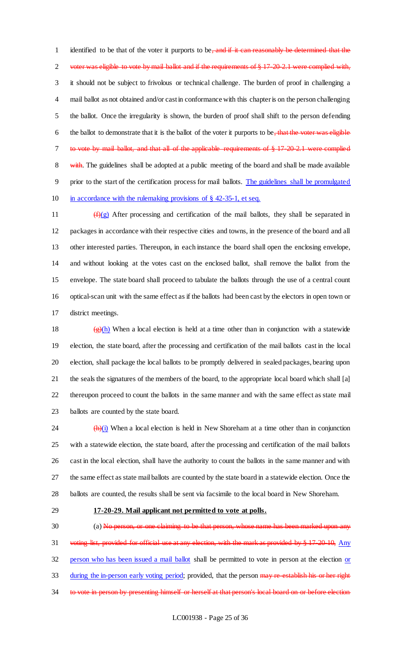1 identified to be that of the voter it purports to be, and if it can reasonably be determined that the 2 voter was eligible to vote by mail ballot and if the requirements of § 17-20-2.1 were complied with, it should not be subject to frivolous or technical challenge. The burden of proof in challenging a mail ballot as not obtained and/or cast in conformance with this chapter is on the person challenging the ballot. Once the irregularity is shown, the burden of proof shall shift to the person defending 6 the ballot to demonstrate that it is the ballot of the voter it purports to be, that the voter was eligible to vote by mail ballot, and that all of the applicable requirements of § 17-20-2.1 were complied 8 with. The guidelines shall be adopted at a public meeting of the board and shall be made available prior to the start of the certification process for mail ballots. The guidelines shall be promulgated in accordance with the rulemaking provisions of § 42-35-1, et seq.

 $(f)(g)$  After processing and certification of the mail ballots, they shall be separated in packages in accordance with their respective cities and towns, in the presence of the board and all other interested parties. Thereupon, in each instance the board shall open the enclosing envelope, and without looking at the votes cast on the enclosed ballot, shall remove the ballot from the envelope. The state board shall proceed to tabulate the ballots through the use of a central count optical-scan unit with the same effect as if the ballots had been cast by the electors in open town or district meetings.

18 (g)(h) When a local election is held at a time other than in conjunction with a statewide election, the state board, after the processing and certification of the mail ballots cast in the local election, shall package the local ballots to be promptly delivered in sealed packages, bearing upon the seals the signatures of the members of the board, to the appropriate local board which shall [a] thereupon proceed to count the ballots in the same manner and with the same effect as state mail ballots are counted by the state board.

 $\frac{(\mathbf{h})(i)}{(\mathbf{h})(i)}$  When a local election is held in New Shoreham at a time other than in conjunction with a statewide election, the state board, after the processing and certification of the mail ballots cast in the local election, shall have the authority to count the ballots in the same manner and with the same effect as state mail ballots are counted by the state board in a statewide election. Once the ballots are counted, the results shall be sent via facsimile to the local board in New Shoreham.

#### **17-20-29. Mail applicant not permitted to vote at polls.**

30 (a) No person, or one claiming to be that person, whose name has been marked upon any 31 voting list, provided for official use at any election, with the mark as provided by § 17-20-10, Any 32 person who has been issued a mail ballot shall be permitted to vote in person at the election or 33 during the in-person early voting period; provided, that the person may re-establish his or her right 34 to vote in person by presenting himself or herself at that person's local board on or before election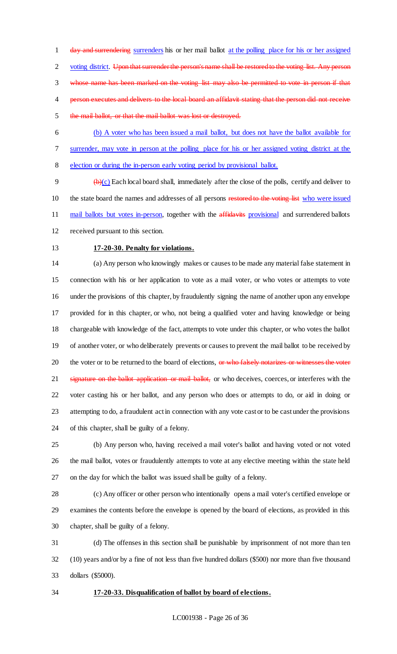1 day and surrendering surrenders his or her mail ballot at the polling place for his or her assigned 2 voting district. Upon that surrender the person's name shall be restored to the voting list. Any person whose name has been marked on the voting list may also be permitted to vote in person if that 4 person executes and delivers to the local board an affidavit stating that the person did not receive the mail ballot, or that the mail ballot was lost or destroyed.

 (b) A voter who has been issued a mail ballot, but does not have the ballot available for surrender, may vote in person at the polling place for his or her assigned voting district at the election or during the in-person early voting period by provisional ballot.

 $\theta$  (b)(c) Each local board shall, immediately after the close of the polls, certify and deliver to 10 the state board the names and addresses of all persons restored to the voting list who were issued 11 mail ballots but votes in-person, together with the affidavits provisional and surrendered ballots received pursuant to this section.

# **17-20-30. Penalty for violations.**

 (a) Any person who knowingly makes or causes to be made any material false statement in connection with his or her application to vote as a mail voter, or who votes or attempts to vote under the provisions of this chapter, by fraudulently signing the name of another upon any envelope provided for in this chapter, or who, not being a qualified voter and having knowledge or being chargeable with knowledge of the fact, attempts to vote under this chapter, or who votes the ballot of another voter, or who deliberately prevents or causes to prevent the mail ballot to be received by 20 the voter or to be returned to the board of elections, or who falsely notarizes or witnesses the voter 21 signature on the ballot application or mail ballot, or who deceives, coerces, or interferes with the voter casting his or her ballot, and any person who does or attempts to do, or aid in doing or attempting to do, a fraudulent act in connection with any vote cast or to be cast under the provisions of this chapter, shall be guilty of a felony.

 (b) Any person who, having received a mail voter's ballot and having voted or not voted the mail ballot, votes or fraudulently attempts to vote at any elective meeting within the state held on the day for which the ballot was issued shall be guilty of a felony.

 (c) Any officer or other person who intentionally opens a mail voter's certified envelope or examines the contents before the envelope is opened by the board of elections, as provided in this chapter, shall be guilty of a felony.

 (d) The offenses in this section shall be punishable by imprisonment of not more than ten (10) years and/or by a fine of not less than five hundred dollars (\$500) nor more than five thousand dollars (\$5000).

### **17-20-33. Disqualification of ballot by board of elections.**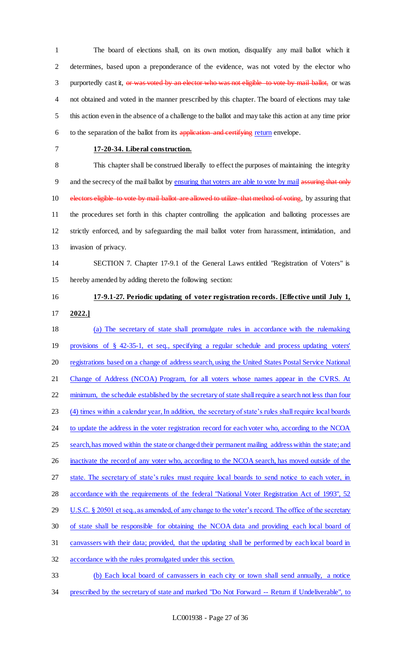The board of elections shall, on its own motion, disqualify any mail ballot which it determines, based upon a preponderance of the evidence, was not voted by the elector who 3 purportedly cast it, or was voted by an elector who was not eligible to vote by mail ballot, or was not obtained and voted in the manner prescribed by this chapter. The board of elections may take this action even in the absence of a challenge to the ballot and may take this action at any time prior 6 to the separation of the ballot from its application and certifying return envelope.

#### **17-20-34. Liberal construction.**

 This chapter shall be construed liberally to effect the purposes of maintaining the integrity 9 and the secrecy of the mail ballot by ensuring that voters are able to vote by mail assuring that only 10 electors eligible to vote by mail ballot are allowed to utilize that method of voting, by assuring that the procedures set forth in this chapter controlling the application and balloting processes are strictly enforced, and by safeguarding the mail ballot voter from harassment, intimidation, and invasion of privacy.

# SECTION 7. Chapter 17-9.1 of the General Laws entitled "Registration of Voters" is hereby amended by adding thereto the following section:

# **17-9.1-27. Periodic updating of voter registration records. [Effective until July 1, 2022.]**

# (a) The secretary of state shall promulgate rules in accordance with the rulemaking provisions of § 42-35-1, et seq., specifying a regular schedule and process updating voters' 20 registrations based on a change of address search, using the United States Postal Service National Change of Address (NCOA) Program, for all voters whose names appear in the CVRS. At 22 minimum, the schedule established by the secretary of state shall require a search not less than four (4) times within a calendar year, In addition, the secretary of state's rules shall require local boards 24 to update the address in the voter registration record for each voter who, according to the NCOA 25 search, has moved within the state or changed their permanent mailing address within the state; and 26 inactivate the record of any voter who, according to the NCOA search, has moved outside of the 27 state. The secretary of state's rules must require local boards to send notice to each voter, in 28 accordance with the requirements of the federal "National Voter Registration Act of 1993", 52 29 U.S.C. § 20501 et seq., as amended, of any change to the voter's record. The office of the secretary of state shall be responsible for obtaining the NCOA data and providing each local board of canvassers with their data; provided, that the updating shall be performed by each local board in accordance with the rules promulgated under this section. (b) Each local board of canvassers in each city or town shall send annually, a notice

prescribed by the secretary of state and marked "Do Not Forward -- Return if Undeliverable", to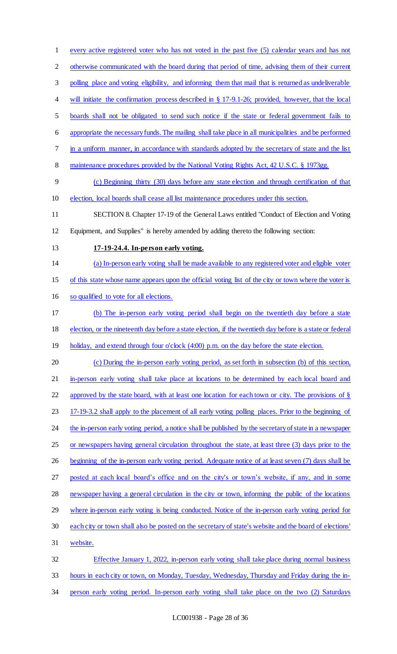every active registered voter who has not voted in the past five (5) calendar years and has not otherwise communicated with the board during that period of time, advising them of their current polling place and voting eligibility, and informing them that mail that is returned as undeliverable 4 will initiate the confirmation process described in § 17-9.1-26; provided, however, that the local boards shall not be obligated to send such notice if the state or federal government fails to appropriate the necessary funds. The mailing shall take place in all municipalities and be performed in a uniform manner, in accordance with standards adopted by the secretary of state and the list 8 maintenance procedures provided by the National Voting Rights Act, 42 U.S.C. § 1973gg. (c) Beginning thirty (30) days before any state election and through certification of that election, local boards shall cease all list maintenance procedures under this section. SECTION 8. Chapter 17-19 of the General Laws entitled "Conduct of Election and Voting Equipment, and Supplies" is hereby amended by adding thereto the following section: **17-19-24.4. In-person early voting.**  (a) In-person early voting shall be made available to any registered voter and eligible voter of this state whose name appears upon the official voting list of the city or town where the voter is so qualified to vote for all elections. (b) The in-person early voting period shall begin on the twentieth day before a state 18 election, or the nineteenth day before a state election, if the twentieth day before is a state or federal 19 holiday, and extend through four o'clock (4:00) p.m. on the day before the state election. (c) During the in-person early voting period, as set forth in subsection (b) of this section, in-person early voting shall take place at locations to be determined by each local board and approved by the state board, with at least one location for each town or city. The provisions of § 17-19-3.2 shall apply to the placement of all early voting polling places. Prior to the beginning of 24 the in-person early voting period, a notice shall be published by the secretary of state in a newspaper or newspapers having general circulation throughout the state, at least three (3) days prior to the beginning of the in-person early voting period. Adequate notice of at least seven (7) days shall be posted at each local board's office and on the city's or town's website, if any, and in some newspaper having a general circulation in the city or town, informing the public of the locations 29 where in-person early voting is being conducted. Notice of the in-person early voting period for each city or town shall also be posted on the secretary of state's website and the board of elections' website. Effective January 1, 2022, in-person early voting shall take place during normal business hours in each city or town, on Monday, Tuesday, Wednesday, Thursday and Friday during the in-person early voting period. In-person early voting shall take place on the two (2) Saturdays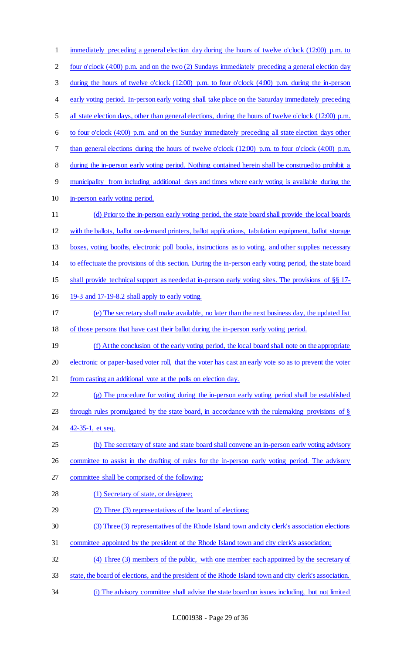| $\mathbf{1}$ | immediately preceding a general election day during the hours of twelve o'clock (12:00) p.m. to            |
|--------------|------------------------------------------------------------------------------------------------------------|
| 2            | four o'clock (4:00) p.m. and on the two (2) Sundays immediately preceding a general election day           |
| 3            | during the hours of twelve o'clock $(12.00)$ p.m. to four o'clock $(4.00)$ p.m. during the in-person       |
| 4            | early voting period. In-person early voting shall take place on the Saturday immediately preceding         |
| 5            | all state election days, other than general elections, during the hours of twelve o'clock (12:00) p.m.     |
| 6            | to four o'clock (4:00) p.m. and on the Sunday immediately preceding all state election days other          |
| 7            | than general elections during the hours of twelve o'clock $(12.00)$ p.m. to four o'clock $(4.00)$ p.m.     |
| $8\,$        | during the in-person early voting period. Nothing contained herein shall be construed to prohibit a        |
| 9            | municipality from including additional days and times where early voting is available during the           |
| 10           | in-person early voting period.                                                                             |
| 11           | (d) Prior to the in-person early voting period, the state board shall provide the local boards             |
| 12           | with the ballots, ballot on-demand printers, ballot applications, tabulation equipment, ballot storage     |
| 13           | boxes, voting booths, electronic poll books, instructions as to voting, and other supplies necessary       |
| 14           | to effectuate the provisions of this section. During the in-person early voting period, the state board    |
| 15           | shall provide technical support as needed at in-person early voting sites. The provisions of $\S$ $\S$ 17- |
| 16           | 19-3 and 17-19-8.2 shall apply to early voting.                                                            |
| 17           | (e) The secretary shall make available, no later than the next business day, the updated list              |
| 18           | of those persons that have cast their ballot during the in-person early voting period.                     |
| 19           | (f) At the conclusion of the early voting period, the local board shall note on the appropriate            |
| 20           | electronic or paper-based voter roll, that the voter has cast an early vote so as to prevent the voter     |
| 21           | from casting an additional vote at the polls on election day.                                              |
| 22           | (g) The procedure for voting during the in-person early voting period shall be established                 |
| 23           | through rules promulgated by the state board, in accordance with the rule making provisions of $\S$        |
| 24           | 42-35-1, et seq.                                                                                           |
| 25           | (h) The secretary of state and state board shall convene an in-person early voting advisory                |
| 26           | committee to assist in the drafting of rules for the in-person early voting period. The advisory           |
| 27           | committee shall be comprised of the following:                                                             |
| 28           | (1) Secretary of state, or designee;                                                                       |
| 29           | (2) Three (3) representatives of the board of elections;                                                   |
| 30           | (3) Three (3) representatives of the Rhode Island town and city clerk's association elections              |
| 31           | committee appointed by the president of the Rhode Island town and city clerk's association;                |
| 32           | (4) Three (3) members of the public, with one member each appointed by the secretary of                    |
| 33           | state, the board of elections, and the president of the Rhode Island town and city clerk's association.    |
| 34           | (i) The advisory committee shall advise the state board on issues including, but not limited               |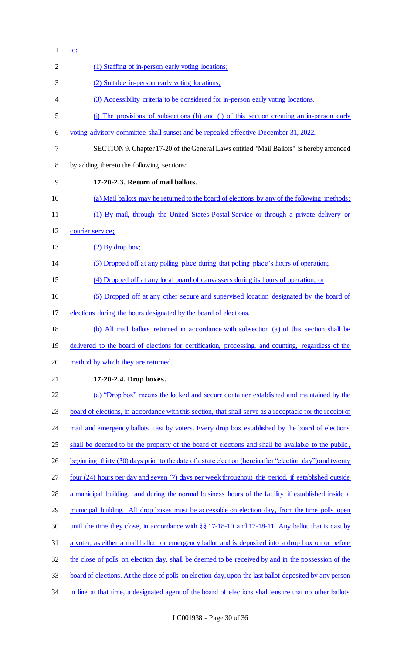| $\mathbf{1}$   | <u>to:</u>                                                                                               |
|----------------|----------------------------------------------------------------------------------------------------------|
| $\overline{2}$ | (1) Staffing of in-person early voting locations;                                                        |
| 3              | (2) Suitable in-person early voting locations;                                                           |
| 4              | (3) Accessibility criteria to be considered for in-person early voting locations.                        |
| 5              | (j) The provisions of subsections (h) and (i) of this section creating an in-person early                |
| 6              | voting advisory committee shall sunset and be repealed effective December 31, 2022.                      |
| 7              | SECTION 9. Chapter 17-20 of the General Laws entitled "Mail Ballots" is hereby amended                   |
| 8              | by adding thereto the following sections:                                                                |
| 9              | 17-20-2.3. Return of mail ballots.                                                                       |
| 10             | (a) Mail ballots may be returned to the board of elections by any of the following methods:              |
| 11             | (1) By mail, through the United States Postal Service or through a private delivery or                   |
| 12             | courier service;                                                                                         |
| 13             | $(2)$ By drop box;                                                                                       |
| 14             | (3) Dropped off at any polling place during that polling place's hours of operation;                     |
| 15             | (4) Dropped off at any local board of canvassers during its hours of operation; or                       |
| 16             | (5) Dropped off at any other secure and supervised location designated by the board of                   |
| 17             | elections during the hours designated by the board of elections.                                         |
| 18             | (b) All mail ballots returned in accordance with subsection (a) of this section shall be                 |
| 19             | delivered to the board of elections for certification, processing, and counting, regardless of the       |
| 20             | method by which they are returned.                                                                       |
| 21             | 17-20-2.4. Drop boxes.                                                                                   |
| 22             | (a) "Drop box" means the locked and secure container established and maintained by the                   |
| 23             | board of elections, in accordance with this section, that shall serve as a receptacle for the receipt of |
| 24             | mail and emergency ballots cast by voters. Every drop box established by the board of elections          |
| 25             | shall be deemed to be the property of the board of elections and shall be available to the public,       |
| 26             | beginning thirty (30) days prior to the date of a state election (hereinafter "election day") and twenty |
| 27             | four (24) hours per day and seven (7) days per week throughout this period, if established outside       |
| 28             | a municipal building, and during the normal business hours of the facility if established inside a       |
| 29             | municipal building. All drop boxes must be accessible on election day, from the time polls open          |
| 30             | until the time they close, in accordance with $\S$ 17-18-10 and 17-18-11. Any ballot that is cast by     |
| 31             | a voter, as either a mail ballot, or emergency ballot and is deposited into a drop box on or before      |
| 32             | the close of polls on election day, shall be deemed to be received by and in the possession of the       |
| 33             | board of elections. At the close of polls on election day, upon the last ballot deposited by any person  |
| 34             | in line at that time, a designated agent of the board of elections shall ensure that no other ballots    |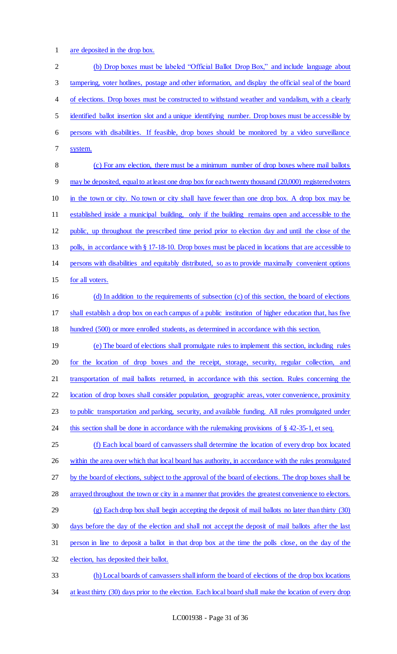are deposited in the drop box.

 (b) Drop boxes must be labeled "Official Ballot Drop Box," and include language about tampering, voter hotlines, postage and other information, and display the official seal of the board of elections. Drop boxes must be constructed to withstand weather and vandalism, with a clearly identified ballot insertion slot and a unique identifying number. Drop boxes must be accessible by persons with disabilities. If feasible, drop boxes should be monitored by a video surveillance system. (c) For any election, there must be a minimum number of drop boxes where mail ballots may be deposited, equal to at least one drop box for each twenty thousand (20,000) registered voters in the town or city. No town or city shall have fewer than one drop box. A drop box may be established inside a municipal building, only if the building remains open and accessible to the public, up throughout the prescribed time period prior to election day and until the close of the 13 polls, in accordance with § 17-18-10. Drop boxes must be placed in locations that are accessible to persons with disabilities and equitably distributed, so as to provide maximally convenient options 15 for all voters. (d) In addition to the requirements of subsection (c) of this section, the board of elections shall establish a drop box on each campus of a public institution of higher education that, has five hundred (500) or more enrolled students, as determined in accordance with this section. (e) The board of elections shall promulgate rules to implement this section, including rules for the location of drop boxes and the receipt, storage, security, regular collection, and transportation of mail ballots returned, in accordance with this section. Rules concerning the 22 location of drop boxes shall consider population, geographic areas, voter convenience, proximity to public transportation and parking, security, and available funding. All rules promulgated under 24 this section shall be done in accordance with the rulemaking provisions of § 42-35-1, et seq. (f) Each local board of canvassers shall determine the location of every drop box located 26 within the area over which that local board has authority, in accordance with the rules promulgated by the board of elections, subject to the approval of the board of elections. The drop boxes shall be arrayed throughout the town or city in a manner that provides the greatest convenience to electors. (g) Each drop box shall begin accepting the deposit of mail ballots no later than thirty (30) days before the day of the election and shall not accept the deposit of mail ballots after the last person in line to deposit a ballot in that drop box at the time the polls close, on the day of the election, has deposited their ballot. (h) Local boards of canvassers shall inform the board of elections of the drop box locations 34 at least thirty (30) days prior to the election. Each local board shall make the location of every drop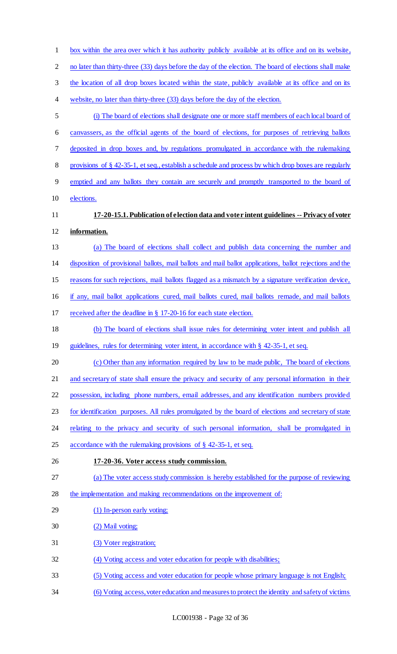| $\mathbf{1}$   | box within the area over which it has authority publicly available at its office and on its website,     |
|----------------|----------------------------------------------------------------------------------------------------------|
| $\overline{2}$ | no later than thirty-three (33) days before the day of the election. The board of elections shall make   |
| 3              | the location of all drop boxes located within the state, publicly available at its office and on its     |
| 4              | website, no later than thirty-three (33) days before the day of the election.                            |
| 5              | (i) The board of elections shall designate one or more staff members of each local board of              |
| 6              | canvassers, as the official agents of the board of elections, for purposes of retrieving ballots         |
| 7              | deposited in drop boxes and, by regulations promulgated in accordance with the rulemaking                |
| 8              | provisions of $\S$ 42-35-1, et seq., establish a schedule and process by which drop boxes are regularly  |
| 9              | emptied and any ballots they contain are securely and promptly transported to the board of               |
| 10             | elections.                                                                                               |
| 11             | 17-20-15.1. Publication of election data and voter intent guidelines -- Privacy of voter                 |
| 12             | information.                                                                                             |
| 13             | (a) The board of elections shall collect and publish data concerning the number and                      |
| 14             | disposition of provisional ballots, mail ballots and mail ballot applications, ballot rejections and the |
| 15             | reasons for such rejections, mail ballots flagged as a mismatch by a signature verification device,      |
| 16             | if any, mail ballot applications cured, mail ballots cured, mail ballots remade, and mail ballots        |
| 17             | received after the deadline in § 17-20-16 for each state election.                                       |
| 18             | (b) The board of elections shall issue rules for determining voter intent and publish all                |
| 19             | guidelines, rules for determining voter intent, in accordance with § 42-35-1, et seq.                    |
| 20             | (c) Other than any information required by law to be made public, The board of elections                 |
| 21             | and secretary of state shall ensure the privacy and security of any personal information in their        |
| 22             | possession, including phone numbers, email addresses, and any identification numbers provided            |
| 23             | for identification purposes. All rules promulgated by the board of elections and secretary of state      |
| 24             | relating to the privacy and security of such personal information, shall be promulgated in               |
| 25             | accordance with the rulemaking provisions of § 42-35-1, et seq.                                          |
| 26             | 17-20-36. Voter access study commission.                                                                 |
| 27             | (a) The voter access study commission is hereby established for the purpose of reviewing                 |
| 28             | the implementation and making recommendations on the improvement of:                                     |
| 29             | (1) In-person early voting;                                                                              |
| 30             | (2) Mail voting;                                                                                         |
| 31             | (3) Voter registration;                                                                                  |
| 32             | (4) Voting access and voter education for people with disabilities;                                      |
| 33             | (5) Voting access and voter education for people whose primary language is not English;                  |
| 34             | (6) Voting access, voter education and measures to protect the identity and safety of victims            |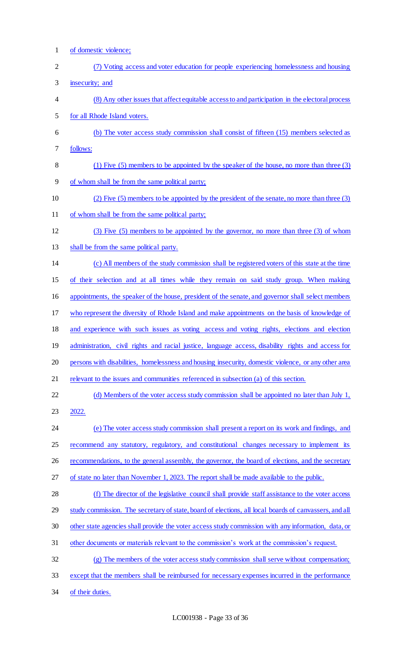of domestic violence; (7) Voting access and voter education for people experiencing homelessness and housing insecurity; and (8) Any other issues that affect equitable access to and participation in the electoral process for all Rhode Island voters. (b) The voter access study commission shall consist of fifteen (15) members selected as follows: (1) Five (5) members to be appointed by the speaker of the house, no more than three (3) of whom shall be from the same political party; (2) Five (5) members to be appointed by the president of the senate, no more than three (3) 11 of whom shall be from the same political party; (3) Five (5) members to be appointed by the governor, no more than three (3) of whom 13 shall be from the same political party. (c) All members of the study commission shall be registered voters of this state at the time of their selection and at all times while they remain on said study group. When making appointments, the speaker of the house, president of the senate, and governor shall select members who represent the diversity of Rhode Island and make appointments on the basis of knowledge of and experience with such issues as voting access and voting rights, elections and election administration, civil rights and racial justice, language access, disability rights and access for persons with disabilities, homelessness and housing insecurity, domestic violence, or any other area 21 relevant to the issues and communities referenced in subsection (a) of this section. 22 (d) Members of the voter access study commission shall be appointed no later than July 1, 2022. (e) The voter access study commission shall present a report on its work and findings, and recommend any statutory, regulatory, and constitutional changes necessary to implement its 26 recommendations, to the general assembly, the governor, the board of elections, and the secretary 27 of state no later than November 1, 2023. The report shall be made available to the public. (f) The director of the legislative council shall provide staff assistance to the voter access 29 study commission. The secretary of state, board of elections, all local boards of canvassers, and all other state agencies shall provide the voter access study commission with any information, data, or other documents or materials relevant to the commission's work at the commission's request. (g) The members of the voter access study commission shall serve without compensation; except that the members shall be reimbursed for necessary expenses incurred in the performance 34 of their duties.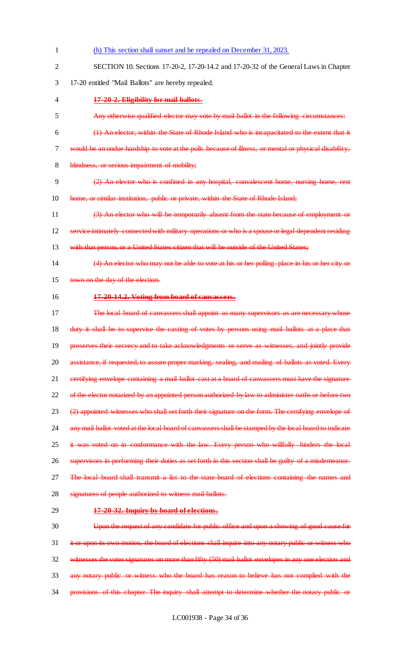- 1 (h) This section shall sunset and be repealed on December 31, 2023. 2 SECTION 10. Sections 17-20-2, 17-20-14.2 and 17-20-32 of the General Laws in Chapter 3 17-20 entitled "Mail Ballots" are hereby repealed. 4 **17-20-2. Eligibility for mail ballots.** 5 Any otherwise qualified elector may vote by mail ballot in the following circumstances: 6 (1) An elector, within the State of Rhode Island who is incapacitated to the extent that it 7 would be an undue hardship to vote at the polls because of illness, or mental or physical disability, 8 blindness, or serious impairment of mobility; 9 (2) An elector who is confined in any hospital, convalescent home, nursing home, rest 10 home, or similar institution, public or private, within the State of Rhode Island; 11 (3) An elector who will be temporarily absent from the state because of employment or 12 service intimately connected with military operations or who is a spouse or legal dependent residing 13 with that person, or a United States citizen that will be outside of the United States; 14 (4) An elector who may not be able to vote at his or her polling place in his or her city or 15 town on the day of the election. 16 **17-20-14.2. Voting from board of canvassers.** 17 The local board of canvassers shall appoint as many supervisors as are necessary whose 18 duty it shall be to supervise the casting of votes by persons using mail ballots at a place that 19 preserves their secrecy and to take acknowledgments or serve as witnesses, and jointly provide 20 assistance, if requested, to assure proper marking, sealing, and mailing of ballots as voted. Every 21 certifying envelope containing a mail ballot cast at a board of canvassers must have the signature 22 of the elector notarized by an appointed person authorized by law to administer oaths or before two 23 (2) appointed witnesses who shall set forth their signature on the form. The certifying envelope of 24 any mail ballot voted at the local board of canvassers shall be stamped by the local board to indicate 25 it was voted on in conformance with the law. Every person who willfully hinders the local 26 supervisors in performing their duties as set forth in this section shall be guilty of a misdemeanor. 27 The local board shall transmit a list to the state board of elections containing the names and 28 signatures of people authorized to witness mail ballots. 29 **17-20-32. Inquiry by board of elections.** 30 Upon the request of any candidate for public office and upon a showing of good cause for 31 it or upon its own motion, the board of elections shall inquire into any notary public or witness who 32 witnesses the voter signatures on more than fifty (50) mail ballot envelopes in any one election and 33 any notary public or witness who the board has reason to believe has not complied with the
- 34 provisions of this chapter. The inquiry shall attempt to determine whether the notary public or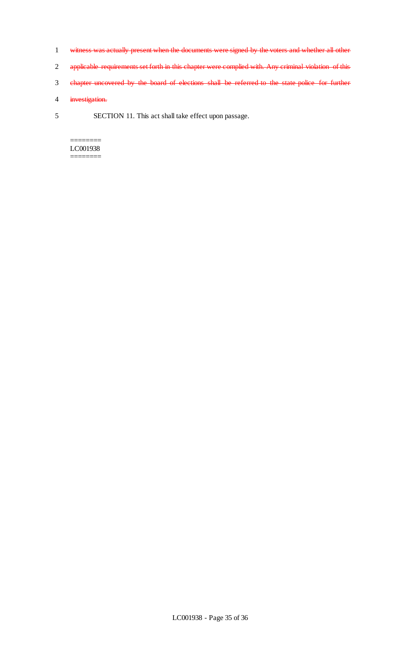- 1 witness was actually present when the documents were signed by the voters and whether all other
- 2 applicable requirements set forth in this chapter were complied with. Any criminal violation of this
- 3 chapter uncovered by the board of elections shall be referred to the state police for further
- 4 investigation.
- 5 SECTION 11. This act shall take effect upon passage.

======== LC001938 ========